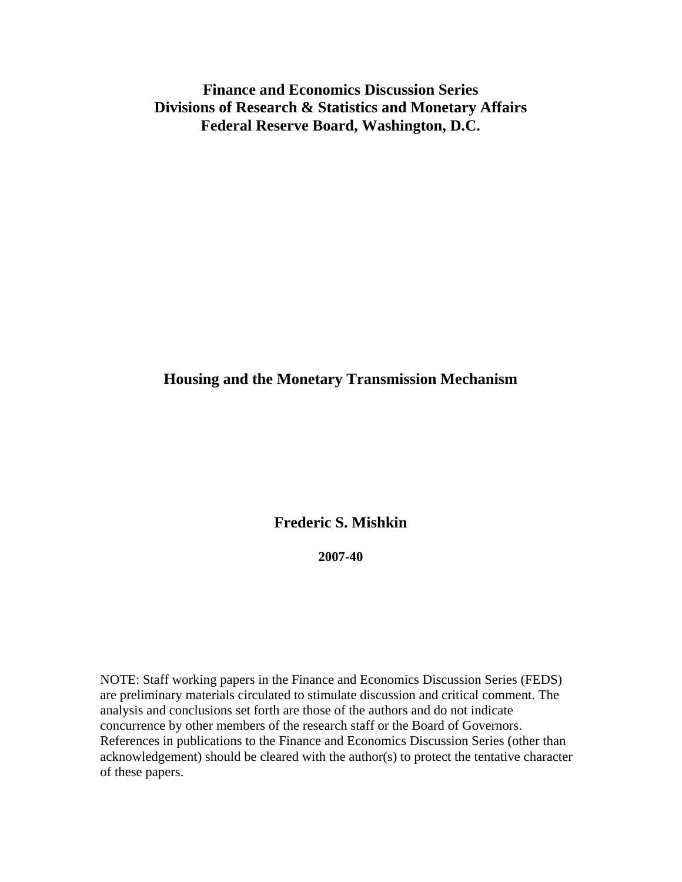**Finance and Economics Discussion Series Divisions of Research & Statistics and Monetary Affairs Federal Reserve Board, Washington, D.C.** 

### **Housing and the Monetary Transmission Mechanism**

**Frederic S. Mishkin** 

**2007-40** 

NOTE: Staff working papers in the Finance and Economics Discussion Series (FEDS) are preliminary materials circulated to stimulate discussion and critical comment. The analysis and conclusions set forth are those of the authors and do not indicate concurrence by other members of the research staff or the Board of Governors. References in publications to the Finance and Economics Discussion Series (other than acknowledgement) should be cleared with the author(s) to protect the tentative character of these papers.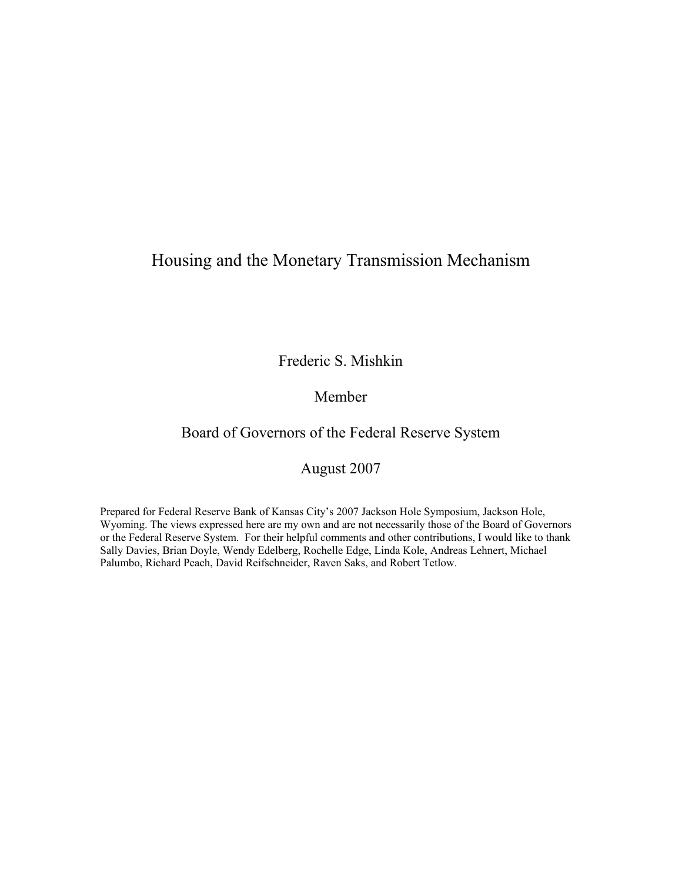# Housing and the Monetary Transmission Mechanism

Frederic S. Mishkin

### Member

# Board of Governors of the Federal Reserve System

## August 2007

Prepared for Federal Reserve Bank of Kansas City's 2007 Jackson Hole Symposium, Jackson Hole, Wyoming. The views expressed here are my own and are not necessarily those of the Board of Governors or the Federal Reserve System. For their helpful comments and other contributions, I would like to thank Sally Davies, Brian Doyle, Wendy Edelberg, Rochelle Edge, Linda Kole, Andreas Lehnert, Michael Palumbo, Richard Peach, David Reifschneider, Raven Saks, and Robert Tetlow.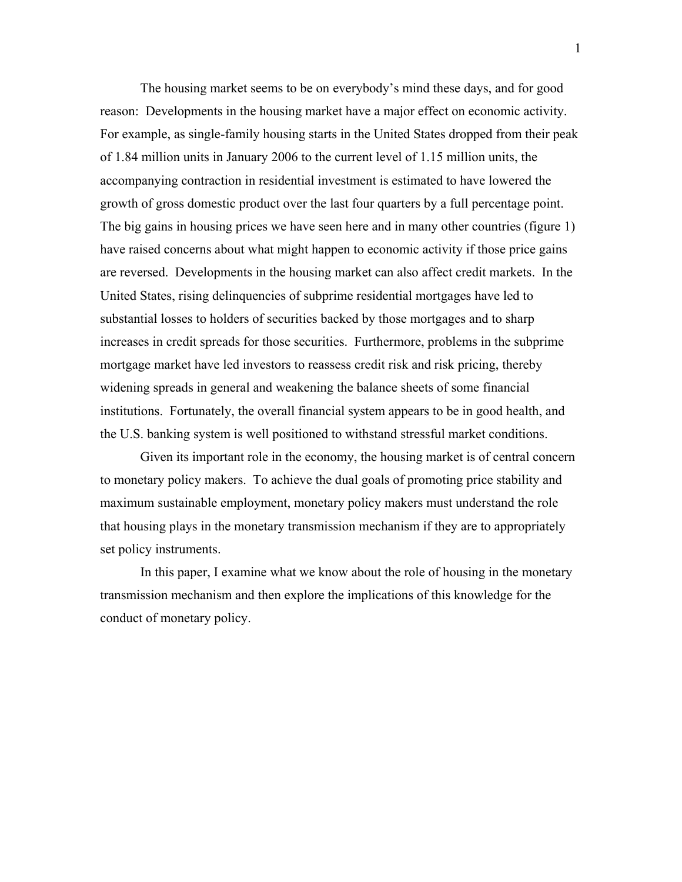The housing market seems to be on everybody's mind these days, and for good reason: Developments in the housing market have a major effect on economic activity. For example, as single-family housing starts in the United States dropped from their peak of 1.84 million units in January 2006 to the current level of 1.15 million units, the accompanying contraction in residential investment is estimated to have lowered the growth of gross domestic product over the last four quarters by a full percentage point. The big gains in housing prices we have seen here and in many other countries (figure 1) have raised concerns about what might happen to economic activity if those price gains are reversed. Developments in the housing market can also affect credit markets. In the United States, rising delinquencies of subprime residential mortgages have led to substantial losses to holders of securities backed by those mortgages and to sharp increases in credit spreads for those securities. Furthermore, problems in the subprime mortgage market have led investors to reassess credit risk and risk pricing, thereby widening spreads in general and weakening the balance sheets of some financial institutions. Fortunately, the overall financial system appears to be in good health, and the U.S. banking system is well positioned to withstand stressful market conditions.

Given its important role in the economy, the housing market is of central concern to monetary policy makers. To achieve the dual goals of promoting price stability and maximum sustainable employment, monetary policy makers must understand the role that housing plays in the monetary transmission mechanism if they are to appropriately set policy instruments.

In this paper, I examine what we know about the role of housing in the monetary transmission mechanism and then explore the implications of this knowledge for the conduct of monetary policy.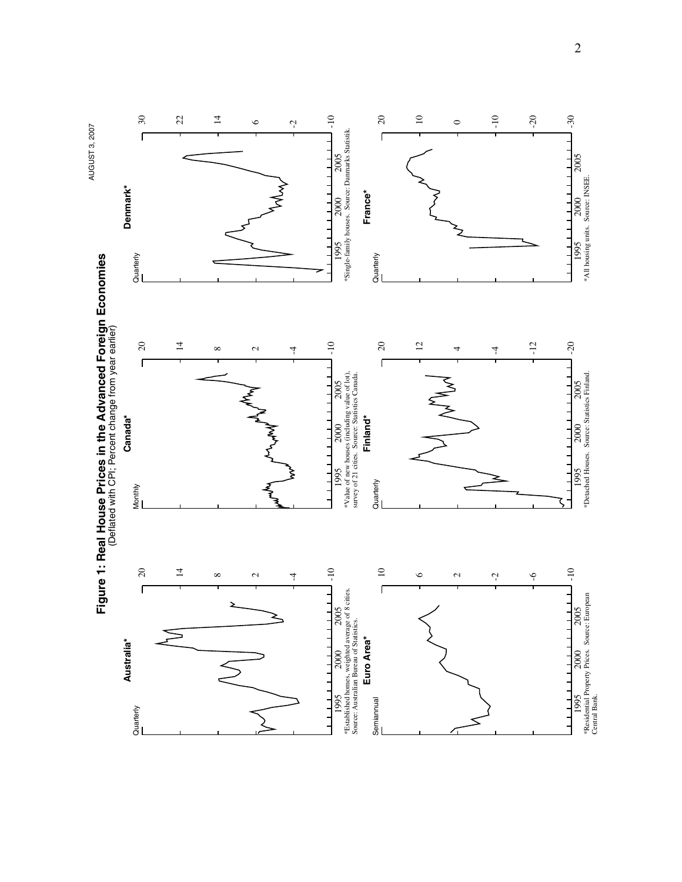

<sup>2</sup>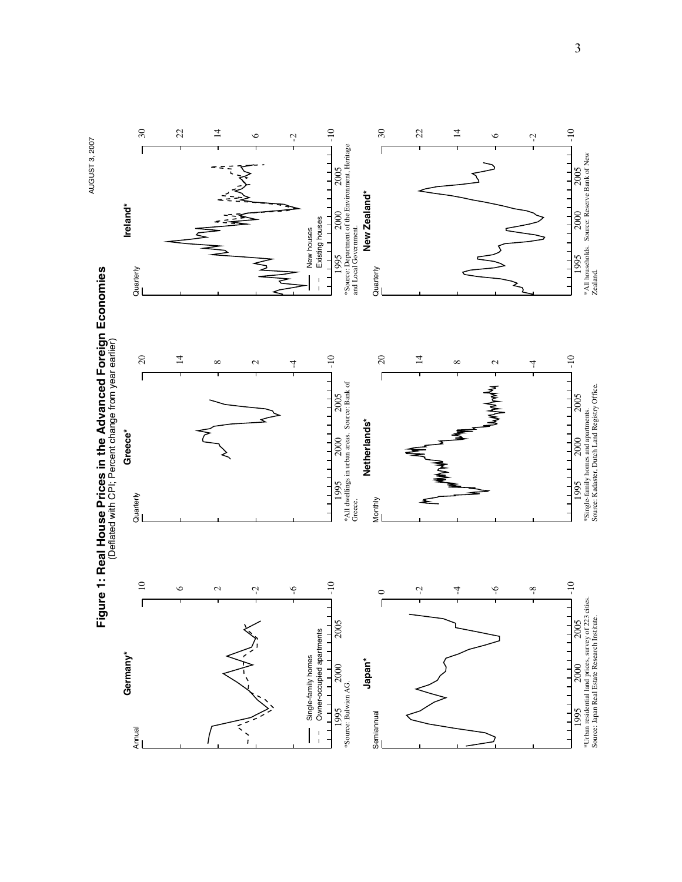

3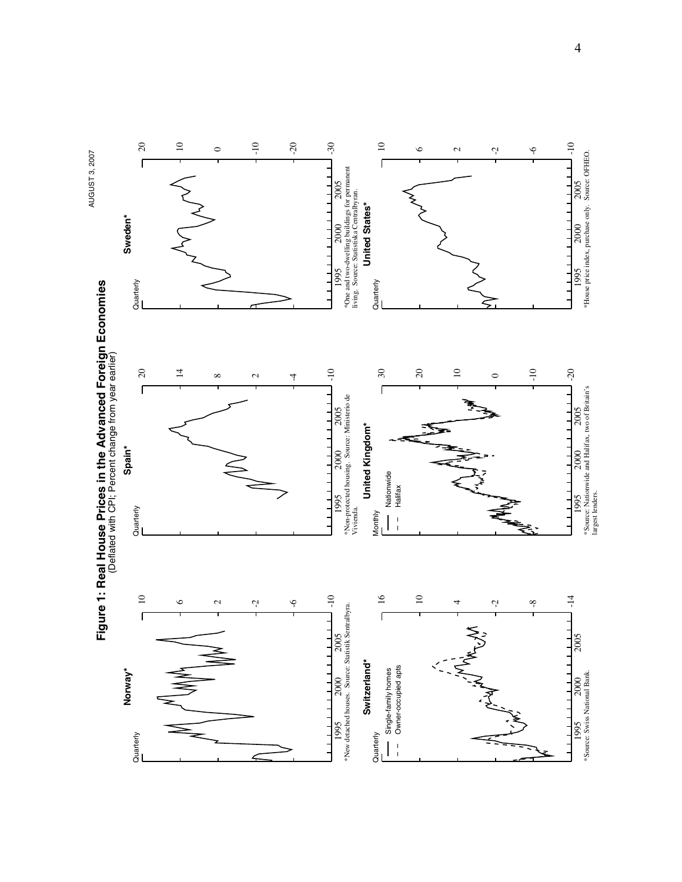

4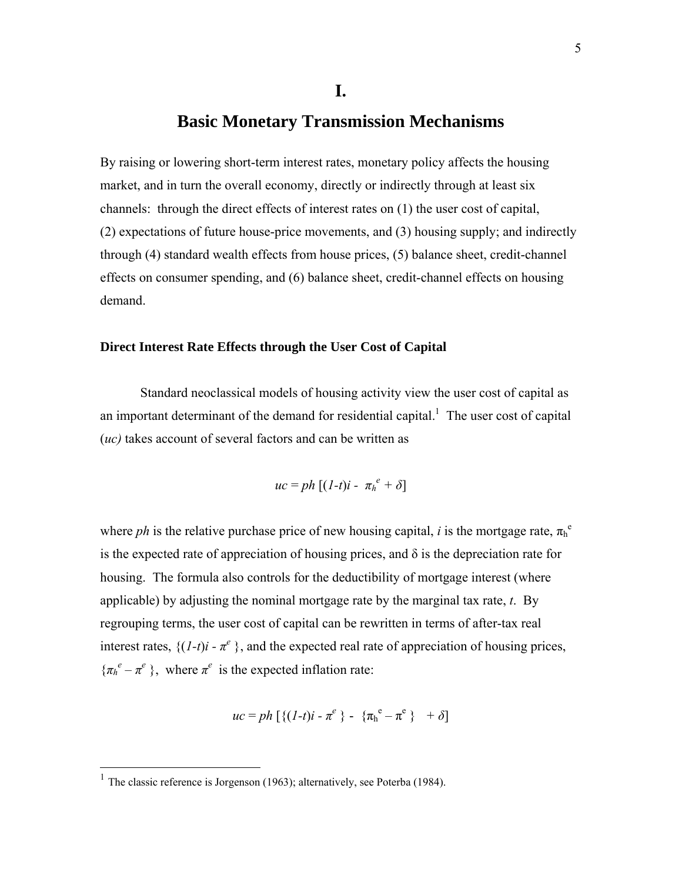### **Basic Monetary Transmission Mechanisms**

By raising or lowering short-term interest rates, monetary policy affects the housing market, and in turn the overall economy, directly or indirectly through at least six channels: through the direct effects of interest rates on (1) the user cost of capital, (2) expectations of future house-price movements, and (3) housing supply; and indirectly through (4) standard wealth effects from house prices, (5) balance sheet, credit-channel effects on consumer spending, and (6) balance sheet, credit-channel effects on housing demand.

#### **Direct Interest Rate Effects through the User Cost of Capital**

Standard neoclassical models of housing activity view the user cost of capital as an important determinant of the demand for residential capital.<sup>1</sup> The user cost of capital (*uc)* takes account of several factors and can be written as

$$
uc = ph [(1-t)i - \pi_h^e + \delta]
$$

where *ph* is the relative purchase price of new housing capital, *i* is the mortgage rate,  $\pi_h^e$ is the expected rate of appreciation of housing prices, and  $\delta$  is the depreciation rate for housing. The formula also controls for the deductibility of mortgage interest (where applicable) by adjusting the nominal mortgage rate by the marginal tax rate, *t*. By regrouping terms, the user cost of capital can be rewritten in terms of after-tax real interest rates,  $\{(I-t)i - \pi^e\}$ , and the expected real rate of appreciation of housing prices,  ${\pi_h}^e - {\pi}^e$ , where  ${\pi}^e$  is the expected inflation rate:

$$
uc = ph \left[ \{ (1-t)i - \pi^e \} - \{ \pi_h^e - \pi^e \} + \delta \right]
$$

<sup>&</sup>lt;sup>1</sup> The classic reference is Jorgenson (1963); alternatively, see Poterba (1984).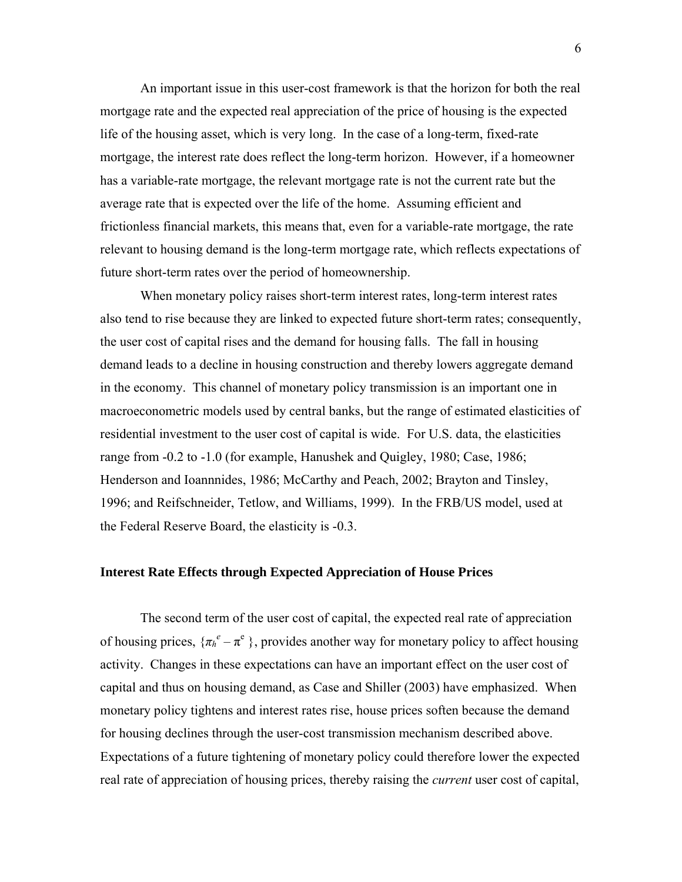An important issue in this user-cost framework is that the horizon for both the real mortgage rate and the expected real appreciation of the price of housing is the expected life of the housing asset, which is very long. In the case of a long-term, fixed-rate mortgage, the interest rate does reflect the long-term horizon. However, if a homeowner has a variable-rate mortgage, the relevant mortgage rate is not the current rate but the average rate that is expected over the life of the home. Assuming efficient and frictionless financial markets, this means that, even for a variable-rate mortgage, the rate relevant to housing demand is the long-term mortgage rate, which reflects expectations of future short-term rates over the period of homeownership.

When monetary policy raises short-term interest rates, long-term interest rates also tend to rise because they are linked to expected future short-term rates; consequently, the user cost of capital rises and the demand for housing falls. The fall in housing demand leads to a decline in housing construction and thereby lowers aggregate demand in the economy. This channel of monetary policy transmission is an important one in macroeconometric models used by central banks, but the range of estimated elasticities of residential investment to the user cost of capital is wide. For U.S. data, the elasticities range from -0.2 to -1.0 (for example, Hanushek and Quigley, 1980; Case, 1986; Henderson and Ioannnides, 1986; McCarthy and Peach, 2002; Brayton and Tinsley, 1996; and Reifschneider, Tetlow, and Williams, 1999). In the FRB/US model, used at the Federal Reserve Board, the elasticity is -0.3.

#### **Interest Rate Effects through Expected Appreciation of House Prices**

The second term of the user cost of capital, the expected real rate of appreciation of housing prices,  $\{\pi_h^e - \pi^e\}$ , provides another way for monetary policy to affect housing activity. Changes in these expectations can have an important effect on the user cost of capital and thus on housing demand, as Case and Shiller (2003) have emphasized. When monetary policy tightens and interest rates rise, house prices soften because the demand for housing declines through the user-cost transmission mechanism described above. Expectations of a future tightening of monetary policy could therefore lower the expected real rate of appreciation of housing prices, thereby raising the *current* user cost of capital,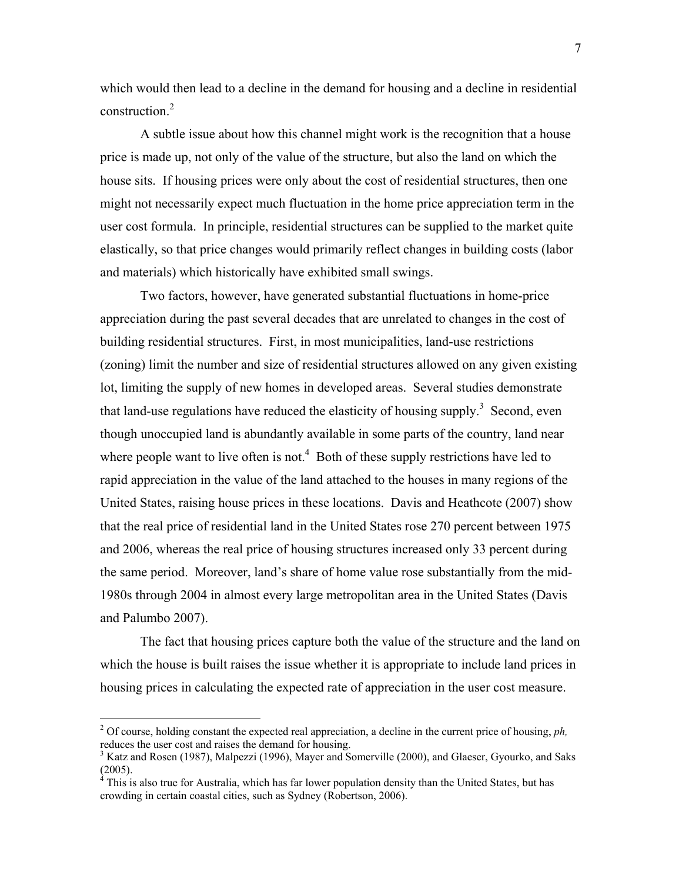which would then lead to a decline in the demand for housing and a decline in residential construction.<sup>2</sup>

A subtle issue about how this channel might work is the recognition that a house price is made up, not only of the value of the structure, but also the land on which the house sits. If housing prices were only about the cost of residential structures, then one might not necessarily expect much fluctuation in the home price appreciation term in the user cost formula. In principle, residential structures can be supplied to the market quite elastically, so that price changes would primarily reflect changes in building costs (labor and materials) which historically have exhibited small swings.

Two factors, however, have generated substantial fluctuations in home-price appreciation during the past several decades that are unrelated to changes in the cost of building residential structures. First, in most municipalities, land-use restrictions (zoning) limit the number and size of residential structures allowed on any given existing lot, limiting the supply of new homes in developed areas. Several studies demonstrate that land-use regulations have reduced the elasticity of housing supply.<sup>3</sup> Second, even though unoccupied land is abundantly available in some parts of the country, land near where people want to live often is not.<sup>4</sup> Both of these supply restrictions have led to rapid appreciation in the value of the land attached to the houses in many regions of the United States, raising house prices in these locations. Davis and Heathcote (2007) show that the real price of residential land in the United States rose 270 percent between 1975 and 2006, whereas the real price of housing structures increased only 33 percent during the same period. Moreover, land's share of home value rose substantially from the mid-1980s through 2004 in almost every large metropolitan area in the United States (Davis and Palumbo 2007).

The fact that housing prices capture both the value of the structure and the land on which the house is built raises the issue whether it is appropriate to include land prices in housing prices in calculating the expected rate of appreciation in the user cost measure.

<sup>&</sup>lt;sup>2</sup> Of course, holding constant the expected real appreciation, a decline in the current price of housing,  $ph$ , reduces the user cost and raises the demand for housing.

<sup>&</sup>lt;sup>3</sup> Katz and Rosen (1987), Malpezzi (1996), Mayer and Somerville (2000), and Glaeser, Gyourko, and Saks  $(2005)$ .<br><sup>4</sup> This is

This is also true for Australia, which has far lower population density than the United States, but has crowding in certain coastal cities, such as Sydney (Robertson, 2006).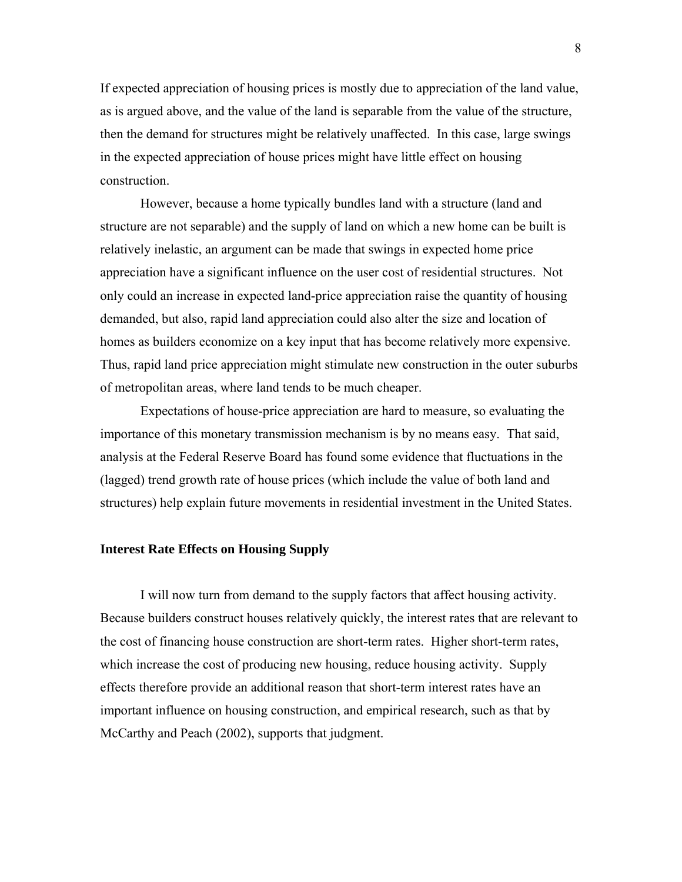If expected appreciation of housing prices is mostly due to appreciation of the land value, as is argued above, and the value of the land is separable from the value of the structure, then the demand for structures might be relatively unaffected. In this case, large swings in the expected appreciation of house prices might have little effect on housing construction.

However, because a home typically bundles land with a structure (land and structure are not separable) and the supply of land on which a new home can be built is relatively inelastic, an argument can be made that swings in expected home price appreciation have a significant influence on the user cost of residential structures. Not only could an increase in expected land-price appreciation raise the quantity of housing demanded, but also, rapid land appreciation could also alter the size and location of homes as builders economize on a key input that has become relatively more expensive. Thus, rapid land price appreciation might stimulate new construction in the outer suburbs of metropolitan areas, where land tends to be much cheaper.

Expectations of house-price appreciation are hard to measure, so evaluating the importance of this monetary transmission mechanism is by no means easy. That said, analysis at the Federal Reserve Board has found some evidence that fluctuations in the (lagged) trend growth rate of house prices (which include the value of both land and structures) help explain future movements in residential investment in the United States.

#### **Interest Rate Effects on Housing Supply**

I will now turn from demand to the supply factors that affect housing activity. Because builders construct houses relatively quickly, the interest rates that are relevant to the cost of financing house construction are short-term rates. Higher short-term rates, which increase the cost of producing new housing, reduce housing activity. Supply effects therefore provide an additional reason that short-term interest rates have an important influence on housing construction, and empirical research, such as that by McCarthy and Peach (2002), supports that judgment.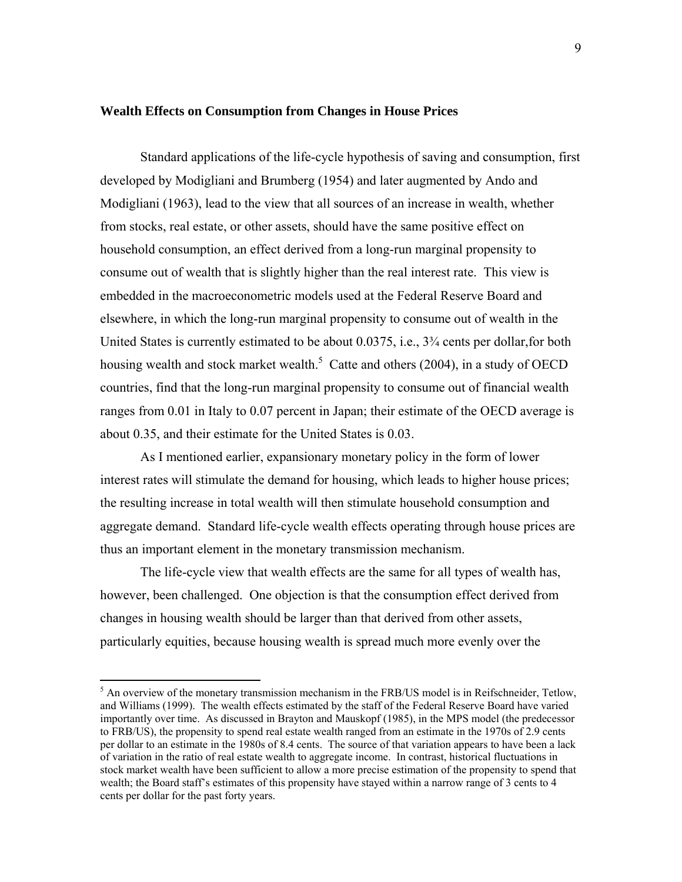#### **Wealth Effects on Consumption from Changes in House Prices**

Standard applications of the life-cycle hypothesis of saving and consumption, first developed by Modigliani and Brumberg (1954) and later augmented by Ando and Modigliani (1963), lead to the view that all sources of an increase in wealth, whether from stocks, real estate, or other assets, should have the same positive effect on household consumption, an effect derived from a long-run marginal propensity to consume out of wealth that is slightly higher than the real interest rate. This view is embedded in the macroeconometric models used at the Federal Reserve Board and elsewhere, in which the long-run marginal propensity to consume out of wealth in the United States is currently estimated to be about 0.0375, i.e., 3¾ cents per dollar,for both housing wealth and stock market wealth.<sup>5</sup> Catte and others (2004), in a study of OECD countries, find that the long-run marginal propensity to consume out of financial wealth ranges from 0.01 in Italy to 0.07 percent in Japan; their estimate of the OECD average is about 0.35, and their estimate for the United States is 0.03.

As I mentioned earlier, expansionary monetary policy in the form of lower interest rates will stimulate the demand for housing, which leads to higher house prices; the resulting increase in total wealth will then stimulate household consumption and aggregate demand. Standard life-cycle wealth effects operating through house prices are thus an important element in the monetary transmission mechanism.

The life-cycle view that wealth effects are the same for all types of wealth has, however, been challenged. One objection is that the consumption effect derived from changes in housing wealth should be larger than that derived from other assets, particularly equities, because housing wealth is spread much more evenly over the

1

<sup>&</sup>lt;sup>5</sup> An overview of the monetary transmission mechanism in the FRB/US model is in Reifschneider, Tetlow, and Williams (1999). The wealth effects estimated by the staff of the Federal Reserve Board have varied importantly over time. As discussed in Brayton and Mauskopf (1985), in the MPS model (the predecessor to FRB/US), the propensity to spend real estate wealth ranged from an estimate in the 1970s of 2.9 cents per dollar to an estimate in the 1980s of 8.4 cents. The source of that variation appears to have been a lack of variation in the ratio of real estate wealth to aggregate income. In contrast, historical fluctuations in stock market wealth have been sufficient to allow a more precise estimation of the propensity to spend that wealth; the Board staff's estimates of this propensity have stayed within a narrow range of 3 cents to 4 cents per dollar for the past forty years.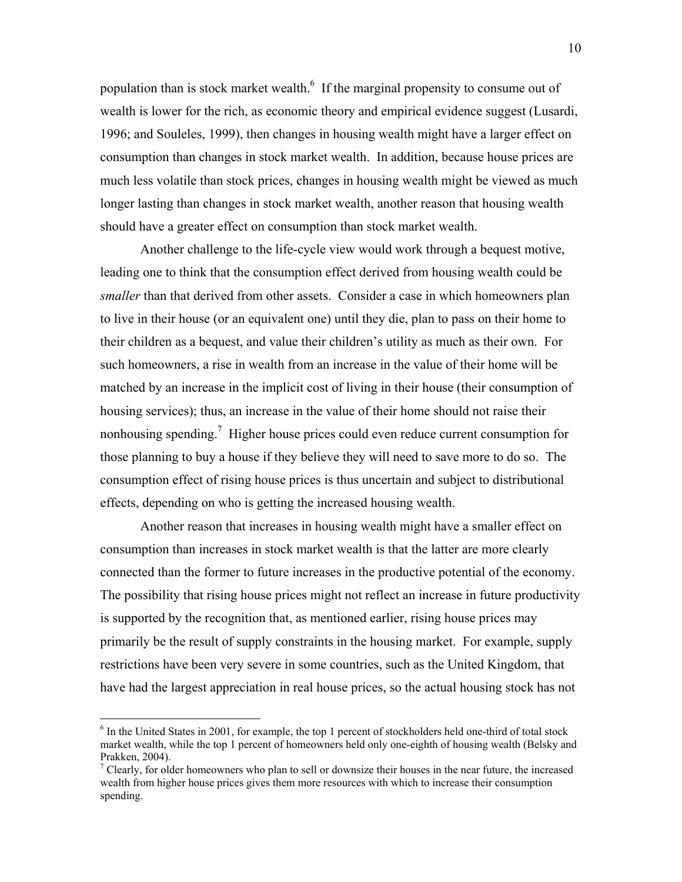population than is stock market wealth. $<sup>6</sup>$  If the marginal propensity to consume out of</sup> wealth is lower for the rich, as economic theory and empirical evidence suggest (Lusardi, 1996; and Souleles, 1999), then changes in housing wealth might have a larger effect on consumption than changes in stock market wealth. In addition, because house prices are much less volatile than stock prices, changes in housing wealth might be viewed as much longer lasting than changes in stock market wealth, another reason that housing wealth should have a greater effect on consumption than stock market wealth.

Another challenge to the life-cycle view would work through a bequest motive, leading one to think that the consumption effect derived from housing wealth could be *smaller* than that derived from other assets. Consider a case in which homeowners plan to live in their house (or an equivalent one) until they die, plan to pass on their home to their children as a bequest, and value their children's utility as much as their own. For such homeowners, a rise in wealth from an increase in the value of their home will be matched by an increase in the implicit cost of living in their house (their consumption of housing services); thus, an increase in the value of their home should not raise their nonhousing spending.<sup>7</sup> Higher house prices could even reduce current consumption for those planning to buy a house if they believe they will need to save more to do so. The consumption effect of rising house prices is thus uncertain and subject to distributional effects, depending on who is getting the increased housing wealth.

Another reason that increases in housing wealth might have a smaller effect on consumption than increases in stock market wealth is that the latter are more clearly connected than the former to future increases in the productive potential of the economy. The possibility that rising house prices might not reflect an increase in future productivity is supported by the recognition that, as mentioned earlier, rising house prices may primarily be the result of supply constraints in the housing market. For example, supply restrictions have been very severe in some countries, such as the United Kingdom, that have had the largest appreciation in real house prices, so the actual housing stock has not

<sup>&</sup>lt;sup>6</sup> In the United States in 2001, for example, the top 1 percent of stockholders held one-third of total stock market wealth, while the top 1 percent of homeowners held only one-eighth of housing wealth (Belsky and Prakken, 2004).

<sup>&</sup>lt;sup>7</sup> Clearly, for older homeowners who plan to sell or downsize their houses in the near future, the increased wealth from higher house prices gives them more resources with which to increase their consumption spending.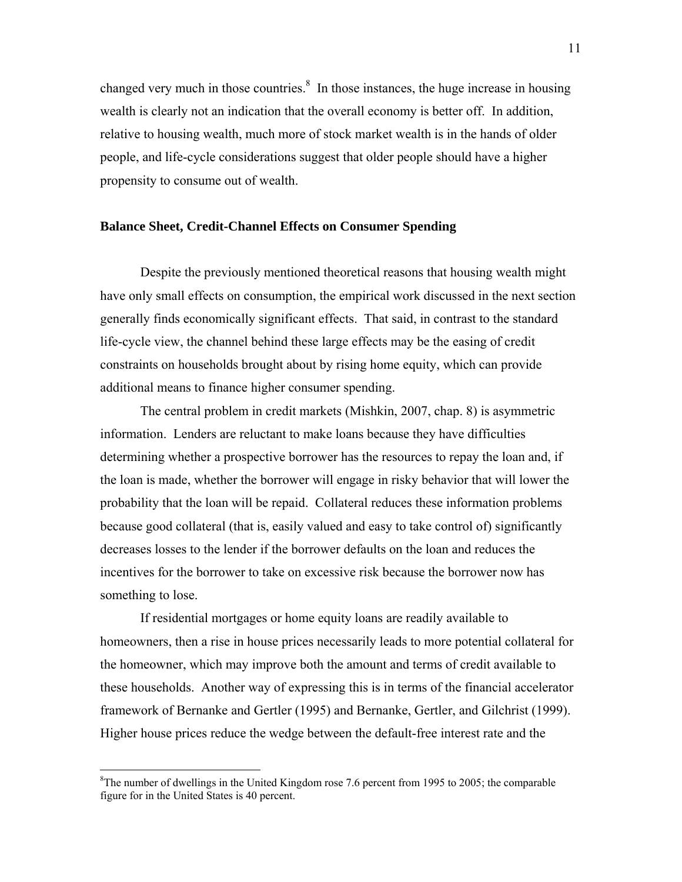changed very much in those countries.<sup>8</sup> In those instances, the huge increase in housing wealth is clearly not an indication that the overall economy is better off. In addition, relative to housing wealth, much more of stock market wealth is in the hands of older people, and life-cycle considerations suggest that older people should have a higher propensity to consume out of wealth.

#### **Balance Sheet, Credit-Channel Effects on Consumer Spending**

 Despite the previously mentioned theoretical reasons that housing wealth might have only small effects on consumption, the empirical work discussed in the next section generally finds economically significant effects. That said, in contrast to the standard life-cycle view, the channel behind these large effects may be the easing of credit constraints on households brought about by rising home equity, which can provide additional means to finance higher consumer spending.

The central problem in credit markets (Mishkin, 2007, chap. 8) is asymmetric information. Lenders are reluctant to make loans because they have difficulties determining whether a prospective borrower has the resources to repay the loan and, if the loan is made, whether the borrower will engage in risky behavior that will lower the probability that the loan will be repaid. Collateral reduces these information problems because good collateral (that is, easily valued and easy to take control of) significantly decreases losses to the lender if the borrower defaults on the loan and reduces the incentives for the borrower to take on excessive risk because the borrower now has something to lose.

If residential mortgages or home equity loans are readily available to homeowners, then a rise in house prices necessarily leads to more potential collateral for the homeowner, which may improve both the amount and terms of credit available to these households. Another way of expressing this is in terms of the financial accelerator framework of Bernanke and Gertler (1995) and Bernanke, Gertler, and Gilchrist (1999). Higher house prices reduce the wedge between the default-free interest rate and the

<sup>&</sup>lt;sup>8</sup>The number of dwellings in the United Kingdom rose 7.6 percent from 1995 to 2005; the comparable figure for in the United States is 40 percent.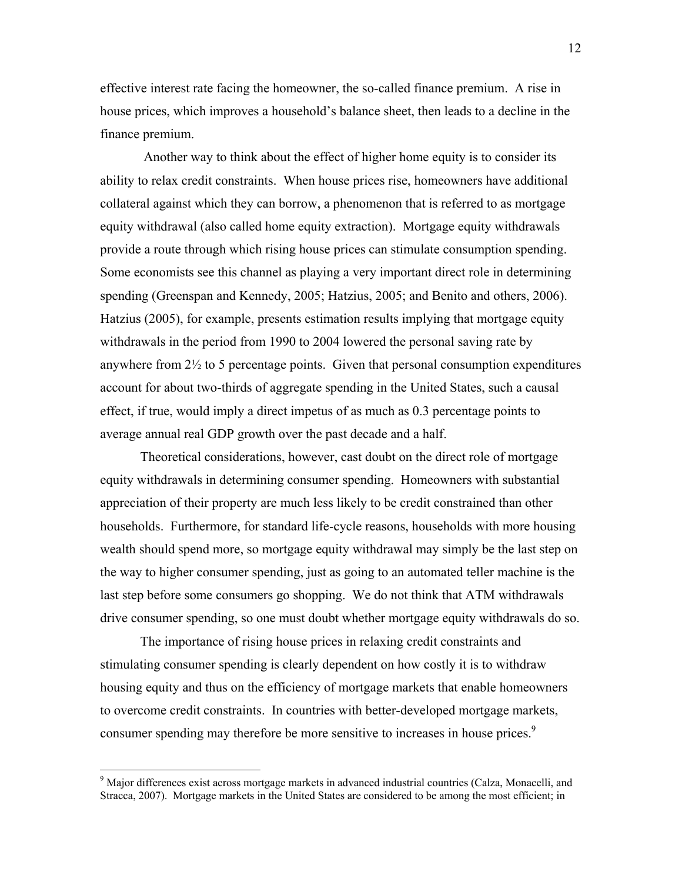effective interest rate facing the homeowner, the so-called finance premium. A rise in house prices, which improves a household's balance sheet, then leads to a decline in the finance premium.

 Another way to think about the effect of higher home equity is to consider its ability to relax credit constraints. When house prices rise, homeowners have additional collateral against which they can borrow, a phenomenon that is referred to as mortgage equity withdrawal (also called home equity extraction). Mortgage equity withdrawals provide a route through which rising house prices can stimulate consumption spending. Some economists see this channel as playing a very important direct role in determining spending (Greenspan and Kennedy, 2005; Hatzius, 2005; and Benito and others, 2006). Hatzius (2005), for example, presents estimation results implying that mortgage equity withdrawals in the period from 1990 to 2004 lowered the personal saving rate by anywhere from  $2\frac{1}{2}$  to 5 percentage points. Given that personal consumption expenditures account for about two-thirds of aggregate spending in the United States, such a causal effect, if true, would imply a direct impetus of as much as 0.3 percentage points to average annual real GDP growth over the past decade and a half.

Theoretical considerations, however, cast doubt on the direct role of mortgage equity withdrawals in determining consumer spending. Homeowners with substantial appreciation of their property are much less likely to be credit constrained than other households. Furthermore, for standard life-cycle reasons, households with more housing wealth should spend more, so mortgage equity withdrawal may simply be the last step on the way to higher consumer spending, just as going to an automated teller machine is the last step before some consumers go shopping. We do not think that ATM withdrawals drive consumer spending, so one must doubt whether mortgage equity withdrawals do so.

The importance of rising house prices in relaxing credit constraints and stimulating consumer spending is clearly dependent on how costly it is to withdraw housing equity and thus on the efficiency of mortgage markets that enable homeowners to overcome credit constraints. In countries with better-developed mortgage markets, consumer spending may therefore be more sensitive to increases in house prices.<sup>9</sup>

<sup>&</sup>lt;sup>9</sup> Major differences exist across mortgage markets in advanced industrial countries (Calza, Monacelli, and Stracca, 2007). Mortgage markets in the United States are considered to be among the most efficient; in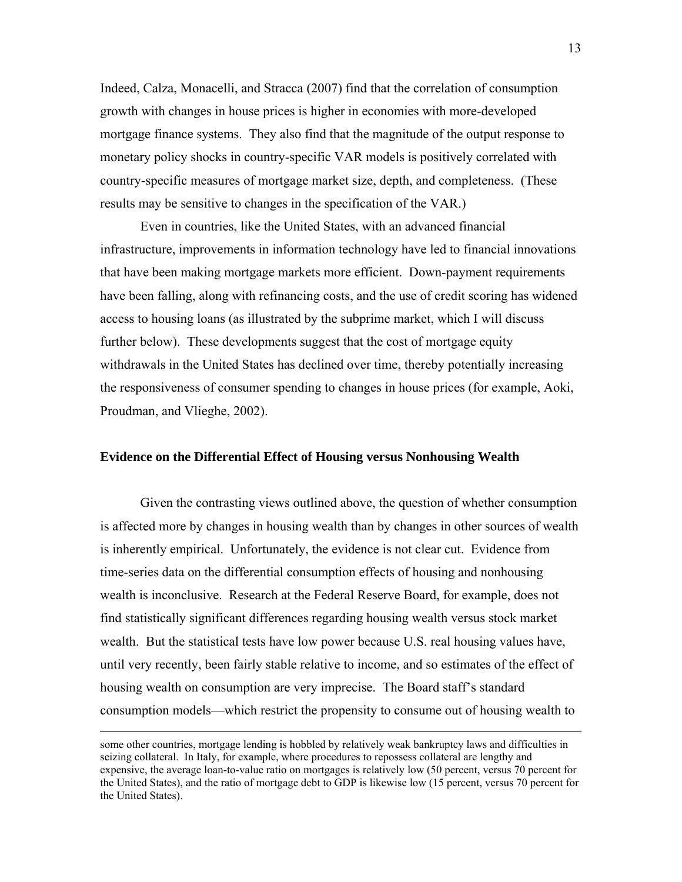Indeed, Calza, Monacelli, and Stracca (2007) find that the correlation of consumption growth with changes in house prices is higher in economies with more-developed mortgage finance systems. They also find that the magnitude of the output response to monetary policy shocks in country-specific VAR models is positively correlated with country-specific measures of mortgage market size, depth, and completeness. (These results may be sensitive to changes in the specification of the VAR.)

Even in countries, like the United States, with an advanced financial infrastructure, improvements in information technology have led to financial innovations that have been making mortgage markets more efficient. Down-payment requirements have been falling, along with refinancing costs, and the use of credit scoring has widened access to housing loans (as illustrated by the subprime market, which I will discuss further below). These developments suggest that the cost of mortgage equity withdrawals in the United States has declined over time, thereby potentially increasing the responsiveness of consumer spending to changes in house prices (for example, Aoki, Proudman, and Vlieghe, 2002).

#### **Evidence on the Differential Effect of Housing versus Nonhousing Wealth**

Given the contrasting views outlined above, the question of whether consumption is affected more by changes in housing wealth than by changes in other sources of wealth is inherently empirical. Unfortunately, the evidence is not clear cut. Evidence from time-series data on the differential consumption effects of housing and nonhousing wealth is inconclusive. Research at the Federal Reserve Board, for example, does not find statistically significant differences regarding housing wealth versus stock market wealth. But the statistical tests have low power because U.S. real housing values have, until very recently, been fairly stable relative to income, and so estimates of the effect of housing wealth on consumption are very imprecise. The Board staff's standard consumption models—which restrict the propensity to consume out of housing wealth to

some other countries, mortgage lending is hobbled by relatively weak bankruptcy laws and difficulties in seizing collateral. In Italy, for example, where procedures to repossess collateral are lengthy and expensive, the average loan-to-value ratio on mortgages is relatively low (50 percent, versus 70 percent for the United States), and the ratio of mortgage debt to GDP is likewise low (15 percent, versus 70 percent for the United States).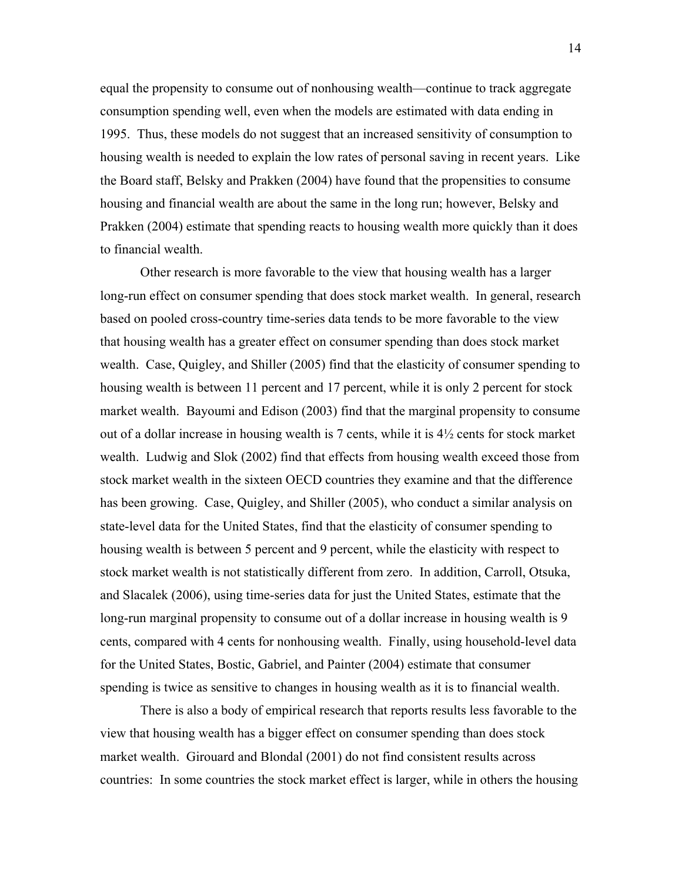equal the propensity to consume out of nonhousing wealth—continue to track aggregate consumption spending well, even when the models are estimated with data ending in 1995. Thus, these models do not suggest that an increased sensitivity of consumption to housing wealth is needed to explain the low rates of personal saving in recent years. Like the Board staff, Belsky and Prakken (2004) have found that the propensities to consume housing and financial wealth are about the same in the long run; however, Belsky and Prakken (2004) estimate that spending reacts to housing wealth more quickly than it does to financial wealth.

Other research is more favorable to the view that housing wealth has a larger long-run effect on consumer spending that does stock market wealth. In general, research based on pooled cross-country time-series data tends to be more favorable to the view that housing wealth has a greater effect on consumer spending than does stock market wealth. Case, Quigley, and Shiller (2005) find that the elasticity of consumer spending to housing wealth is between 11 percent and 17 percent, while it is only 2 percent for stock market wealth. Bayoumi and Edison (2003) find that the marginal propensity to consume out of a dollar increase in housing wealth is 7 cents, while it is 4½ cents for stock market wealth. Ludwig and Slok (2002) find that effects from housing wealth exceed those from stock market wealth in the sixteen OECD countries they examine and that the difference has been growing. Case, Quigley, and Shiller (2005), who conduct a similar analysis on state-level data for the United States, find that the elasticity of consumer spending to housing wealth is between 5 percent and 9 percent, while the elasticity with respect to stock market wealth is not statistically different from zero. In addition, Carroll, Otsuka, and Slacalek (2006), using time-series data for just the United States, estimate that the long-run marginal propensity to consume out of a dollar increase in housing wealth is 9 cents, compared with 4 cents for nonhousing wealth. Finally, using household-level data for the United States, Bostic, Gabriel, and Painter (2004) estimate that consumer spending is twice as sensitive to changes in housing wealth as it is to financial wealth.

There is also a body of empirical research that reports results less favorable to the view that housing wealth has a bigger effect on consumer spending than does stock market wealth. Girouard and Blondal (2001) do not find consistent results across countries: In some countries the stock market effect is larger, while in others the housing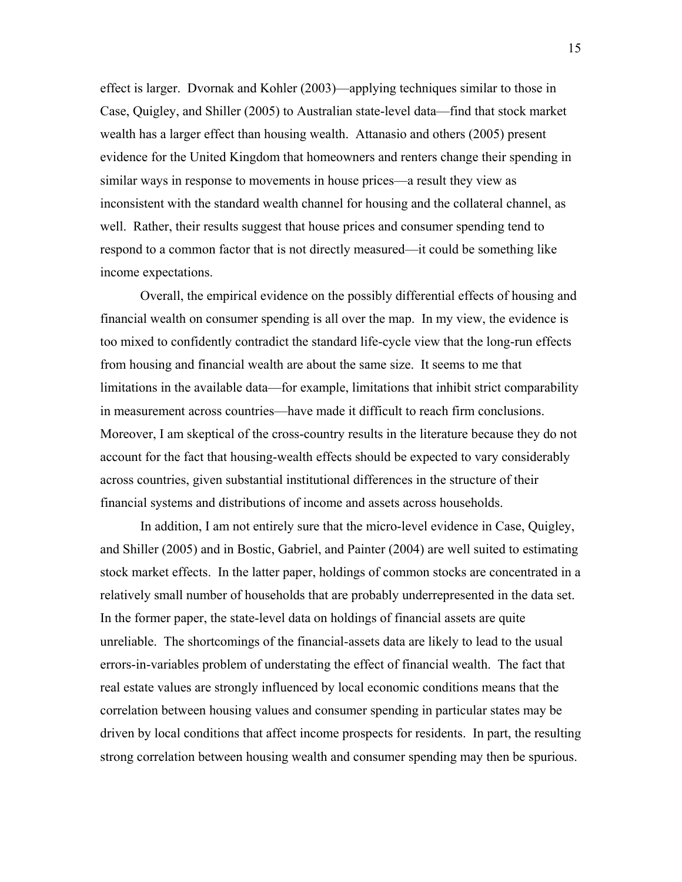effect is larger. Dvornak and Kohler (2003)—applying techniques similar to those in Case, Quigley, and Shiller (2005) to Australian state-level data—find that stock market wealth has a larger effect than housing wealth. Attanasio and others (2005) present evidence for the United Kingdom that homeowners and renters change their spending in similar ways in response to movements in house prices—a result they view as inconsistent with the standard wealth channel for housing and the collateral channel, as well. Rather, their results suggest that house prices and consumer spending tend to respond to a common factor that is not directly measured—it could be something like income expectations.

Overall, the empirical evidence on the possibly differential effects of housing and financial wealth on consumer spending is all over the map. In my view, the evidence is too mixed to confidently contradict the standard life-cycle view that the long-run effects from housing and financial wealth are about the same size. It seems to me that limitations in the available data—for example, limitations that inhibit strict comparability in measurement across countries—have made it difficult to reach firm conclusions. Moreover, I am skeptical of the cross-country results in the literature because they do not account for the fact that housing-wealth effects should be expected to vary considerably across countries, given substantial institutional differences in the structure of their financial systems and distributions of income and assets across households.

In addition, I am not entirely sure that the micro-level evidence in Case, Quigley, and Shiller (2005) and in Bostic, Gabriel, and Painter (2004) are well suited to estimating stock market effects. In the latter paper, holdings of common stocks are concentrated in a relatively small number of households that are probably underrepresented in the data set. In the former paper, the state-level data on holdings of financial assets are quite unreliable. The shortcomings of the financial-assets data are likely to lead to the usual errors-in-variables problem of understating the effect of financial wealth. The fact that real estate values are strongly influenced by local economic conditions means that the correlation between housing values and consumer spending in particular states may be driven by local conditions that affect income prospects for residents. In part, the resulting strong correlation between housing wealth and consumer spending may then be spurious.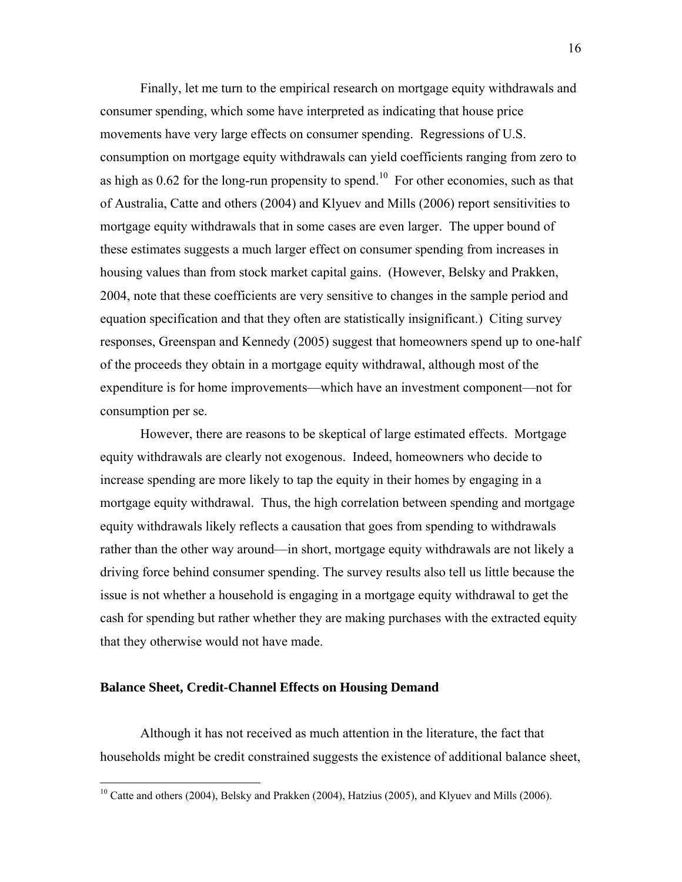Finally, let me turn to the empirical research on mortgage equity withdrawals and consumer spending, which some have interpreted as indicating that house price movements have very large effects on consumer spending. Regressions of U.S. consumption on mortgage equity withdrawals can yield coefficients ranging from zero to as high as  $0.62$  for the long-run propensity to spend.<sup>10</sup> For other economies, such as that of Australia, Catte and others (2004) and Klyuev and Mills (2006) report sensitivities to mortgage equity withdrawals that in some cases are even larger. The upper bound of these estimates suggests a much larger effect on consumer spending from increases in housing values than from stock market capital gains. (However, Belsky and Prakken, 2004, note that these coefficients are very sensitive to changes in the sample period and equation specification and that they often are statistically insignificant.) Citing survey responses, Greenspan and Kennedy (2005) suggest that homeowners spend up to one-half of the proceeds they obtain in a mortgage equity withdrawal, although most of the expenditure is for home improvements—which have an investment component—not for consumption per se.

However, there are reasons to be skeptical of large estimated effects. Mortgage equity withdrawals are clearly not exogenous. Indeed, homeowners who decide to increase spending are more likely to tap the equity in their homes by engaging in a mortgage equity withdrawal. Thus, the high correlation between spending and mortgage equity withdrawals likely reflects a causation that goes from spending to withdrawals rather than the other way around—in short, mortgage equity withdrawals are not likely a driving force behind consumer spending. The survey results also tell us little because the issue is not whether a household is engaging in a mortgage equity withdrawal to get the cash for spending but rather whether they are making purchases with the extracted equity that they otherwise would not have made.

#### **Balance Sheet, Credit-Channel Effects on Housing Demand**

<u>.</u>

Although it has not received as much attention in the literature, the fact that households might be credit constrained suggests the existence of additional balance sheet,

 $10$  Catte and others (2004), Belsky and Prakken (2004), Hatzius (2005), and Klyuev and Mills (2006).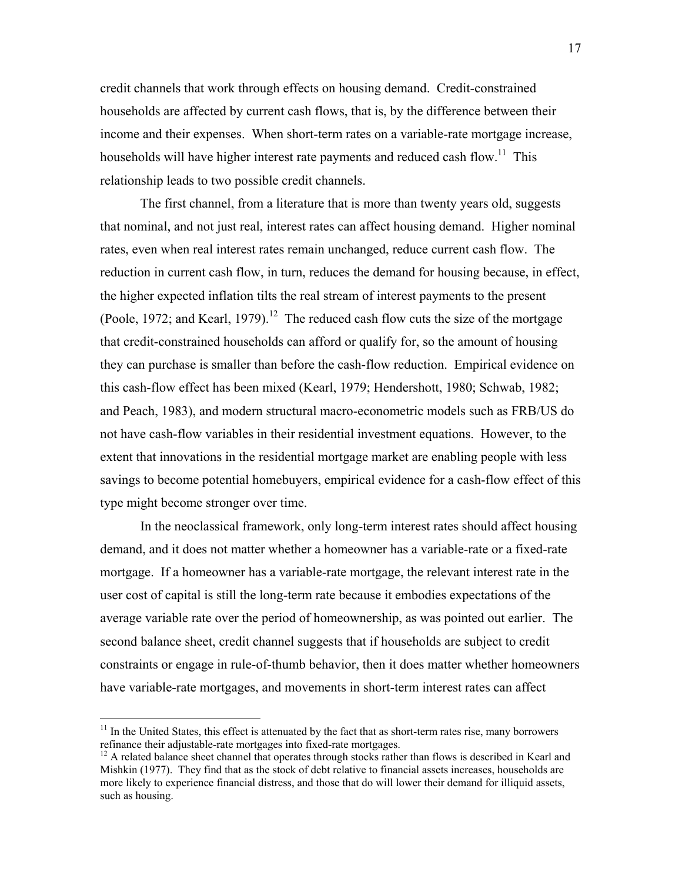credit channels that work through effects on housing demand. Credit-constrained households are affected by current cash flows, that is, by the difference between their income and their expenses. When short-term rates on a variable-rate mortgage increase, households will have higher interest rate payments and reduced cash flow.<sup>11</sup> This relationship leads to two possible credit channels.

The first channel, from a literature that is more than twenty years old, suggests that nominal, and not just real, interest rates can affect housing demand. Higher nominal rates, even when real interest rates remain unchanged, reduce current cash flow. The reduction in current cash flow, in turn, reduces the demand for housing because, in effect, the higher expected inflation tilts the real stream of interest payments to the present (Poole, 1972; and Kearl, 1979).<sup>12</sup> The reduced cash flow cuts the size of the mortgage that credit-constrained households can afford or qualify for, so the amount of housing they can purchase is smaller than before the cash-flow reduction. Empirical evidence on this cash-flow effect has been mixed (Kearl, 1979; Hendershott, 1980; Schwab, 1982; and Peach, 1983), and modern structural macro-econometric models such as FRB/US do not have cash-flow variables in their residential investment equations. However, to the extent that innovations in the residential mortgage market are enabling people with less savings to become potential homebuyers, empirical evidence for a cash-flow effect of this type might become stronger over time.

In the neoclassical framework, only long-term interest rates should affect housing demand, and it does not matter whether a homeowner has a variable-rate or a fixed-rate mortgage. If a homeowner has a variable-rate mortgage, the relevant interest rate in the user cost of capital is still the long-term rate because it embodies expectations of the average variable rate over the period of homeownership, as was pointed out earlier. The second balance sheet, credit channel suggests that if households are subject to credit constraints or engage in rule-of-thumb behavior, then it does matter whether homeowners have variable-rate mortgages, and movements in short-term interest rates can affect

 $11$  In the United States, this effect is attenuated by the fact that as short-term rates rise, many borrowers refinance their adjustable-rate mortgages into fixed-rate mortgages.<br><sup>12</sup> A related balance sheet channel that operates through stocks rather than flows is described in Kearl and

Mishkin (1977). They find that as the stock of debt relative to financial assets increases, households are more likely to experience financial distress, and those that do will lower their demand for illiquid assets, such as housing.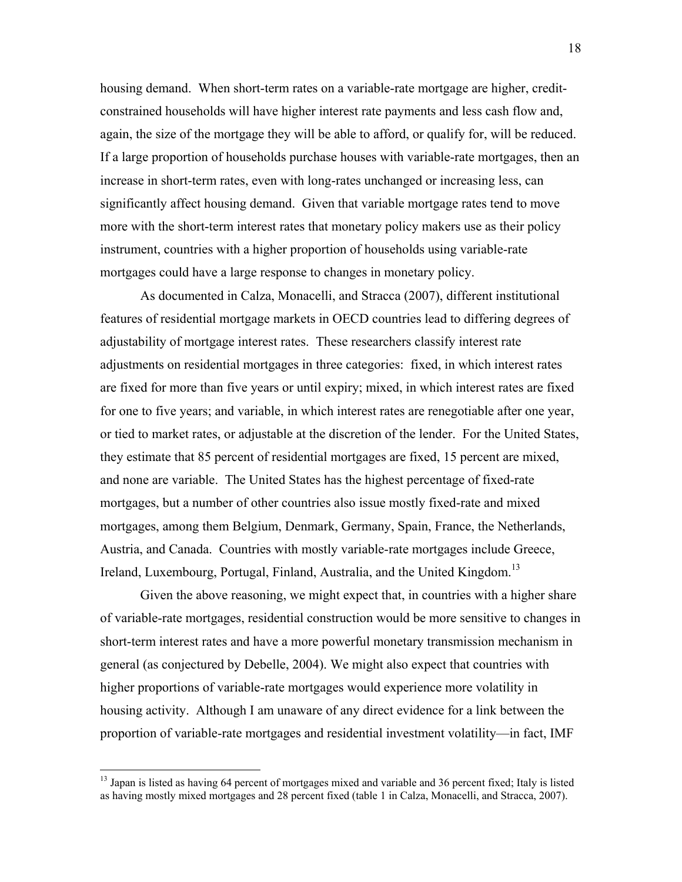housing demand. When short-term rates on a variable-rate mortgage are higher, creditconstrained households will have higher interest rate payments and less cash flow and, again, the size of the mortgage they will be able to afford, or qualify for, will be reduced. If a large proportion of households purchase houses with variable-rate mortgages, then an increase in short-term rates, even with long-rates unchanged or increasing less, can significantly affect housing demand. Given that variable mortgage rates tend to move more with the short-term interest rates that monetary policy makers use as their policy instrument, countries with a higher proportion of households using variable-rate mortgages could have a large response to changes in monetary policy.

As documented in Calza, Monacelli, and Stracca (2007), different institutional features of residential mortgage markets in OECD countries lead to differing degrees of adjustability of mortgage interest rates. These researchers classify interest rate adjustments on residential mortgages in three categories: fixed, in which interest rates are fixed for more than five years or until expiry; mixed, in which interest rates are fixed for one to five years; and variable, in which interest rates are renegotiable after one year, or tied to market rates, or adjustable at the discretion of the lender. For the United States, they estimate that 85 percent of residential mortgages are fixed, 15 percent are mixed, and none are variable. The United States has the highest percentage of fixed-rate mortgages, but a number of other countries also issue mostly fixed-rate and mixed mortgages, among them Belgium, Denmark, Germany, Spain, France, the Netherlands, Austria, and Canada. Countries with mostly variable-rate mortgages include Greece, Ireland, Luxembourg, Portugal, Finland, Australia, and the United Kingdom.<sup>13</sup>

Given the above reasoning, we might expect that, in countries with a higher share of variable-rate mortgages, residential construction would be more sensitive to changes in short-term interest rates and have a more powerful monetary transmission mechanism in general (as conjectured by Debelle, 2004). We might also expect that countries with higher proportions of variable-rate mortgages would experience more volatility in housing activity. Although I am unaware of any direct evidence for a link between the proportion of variable-rate mortgages and residential investment volatility—in fact, IMF

<sup>&</sup>lt;sup>13</sup> Japan is listed as having 64 percent of mortgages mixed and variable and 36 percent fixed; Italy is listed as having mostly mixed mortgages and 28 percent fixed (table 1 in Calza, Monacelli, and Stracca, 2007).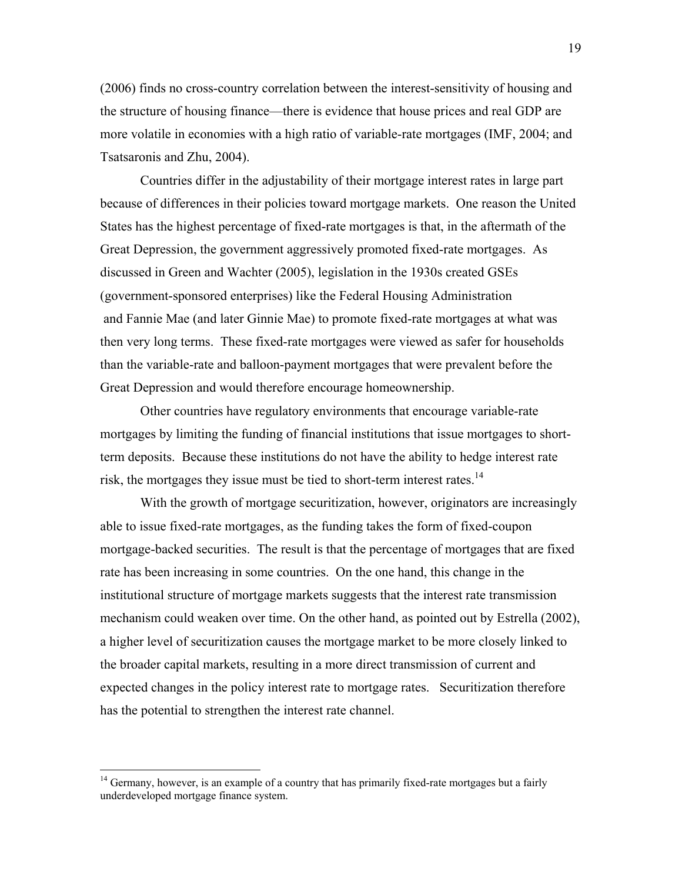(2006) finds no cross-country correlation between the interest-sensitivity of housing and the structure of housing finance—there is evidence that house prices and real GDP are more volatile in economies with a high ratio of variable-rate mortgages (IMF, 2004; and Tsatsaronis and Zhu, 2004).

Countries differ in the adjustability of their mortgage interest rates in large part because of differences in their policies toward mortgage markets. One reason the United States has the highest percentage of fixed-rate mortgages is that, in the aftermath of the Great Depression, the government aggressively promoted fixed-rate mortgages. As discussed in Green and Wachter (2005), legislation in the 1930s created GSEs (government-sponsored enterprises) like the Federal Housing Administration and Fannie Mae (and later Ginnie Mae) to promote fixed-rate mortgages at what was then very long terms. These fixed-rate mortgages were viewed as safer for households than the variable-rate and balloon-payment mortgages that were prevalent before the Great Depression and would therefore encourage homeownership.

Other countries have regulatory environments that encourage variable-rate mortgages by limiting the funding of financial institutions that issue mortgages to shortterm deposits. Because these institutions do not have the ability to hedge interest rate risk, the mortgages they issue must be tied to short-term interest rates.<sup>14</sup>

With the growth of mortgage securitization, however, originators are increasingly able to issue fixed-rate mortgages, as the funding takes the form of fixed-coupon mortgage-backed securities. The result is that the percentage of mortgages that are fixed rate has been increasing in some countries. On the one hand, this change in the institutional structure of mortgage markets suggests that the interest rate transmission mechanism could weaken over time. On the other hand, as pointed out by Estrella (2002), a higher level of securitization causes the mortgage market to be more closely linked to the broader capital markets, resulting in a more direct transmission of current and expected changes in the policy interest rate to mortgage rates. Securitization therefore has the potential to strengthen the interest rate channel.

 $14$  Germany, however, is an example of a country that has primarily fixed-rate mortgages but a fairly underdeveloped mortgage finance system.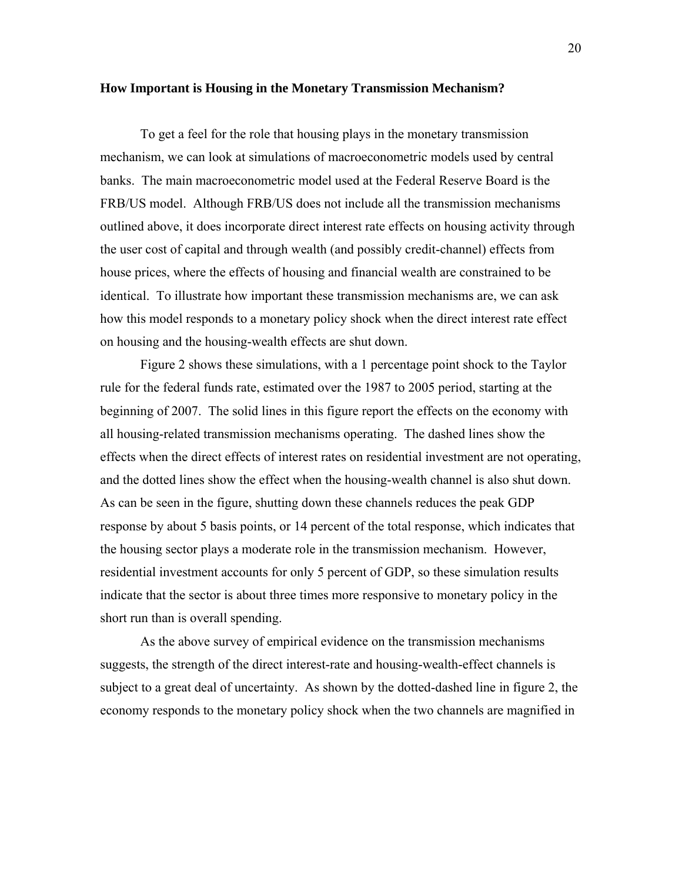#### **How Important is Housing in the Monetary Transmission Mechanism?**

To get a feel for the role that housing plays in the monetary transmission mechanism, we can look at simulations of macroeconometric models used by central banks. The main macroeconometric model used at the Federal Reserve Board is the FRB/US model. Although FRB/US does not include all the transmission mechanisms outlined above, it does incorporate direct interest rate effects on housing activity through the user cost of capital and through wealth (and possibly credit-channel) effects from house prices, where the effects of housing and financial wealth are constrained to be identical. To illustrate how important these transmission mechanisms are, we can ask how this model responds to a monetary policy shock when the direct interest rate effect on housing and the housing-wealth effects are shut down.

Figure 2 shows these simulations, with a 1 percentage point shock to the Taylor rule for the federal funds rate, estimated over the 1987 to 2005 period, starting at the beginning of 2007. The solid lines in this figure report the effects on the economy with all housing-related transmission mechanisms operating. The dashed lines show the effects when the direct effects of interest rates on residential investment are not operating, and the dotted lines show the effect when the housing-wealth channel is also shut down. As can be seen in the figure, shutting down these channels reduces the peak GDP response by about 5 basis points, or 14 percent of the total response, which indicates that the housing sector plays a moderate role in the transmission mechanism. However, residential investment accounts for only 5 percent of GDP, so these simulation results indicate that the sector is about three times more responsive to monetary policy in the short run than is overall spending.

As the above survey of empirical evidence on the transmission mechanisms suggests, the strength of the direct interest-rate and housing-wealth-effect channels is subject to a great deal of uncertainty. As shown by the dotted-dashed line in figure 2, the economy responds to the monetary policy shock when the two channels are magnified in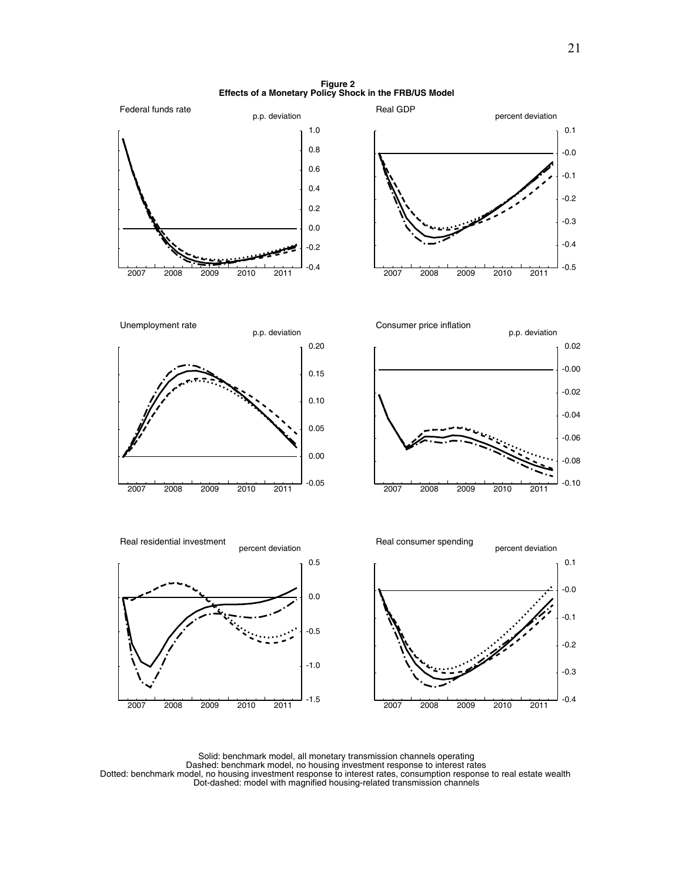**Figure 2 Effects of a Monetary Policy Shock in the FRB/US Model**



Solid: benchmark model, all monetary transmission channels operating Dashed: benchmark model, no housing investment response to interest rates Dotted: benchmark model, no housing investment response to interest rates, consumption response to real estate wealth Dot-dashed: model with magnified housing-related transmission channels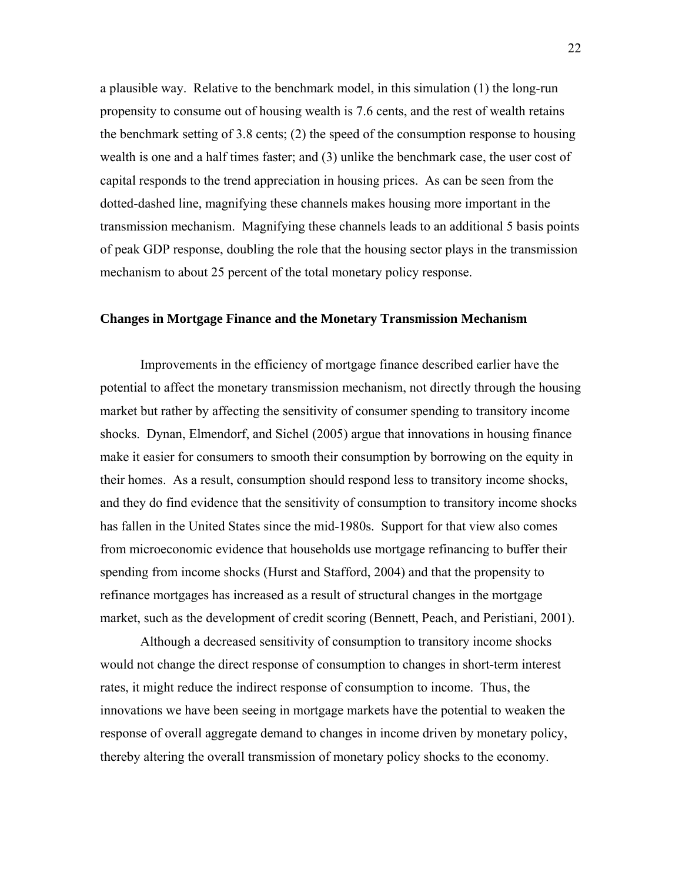a plausible way. Relative to the benchmark model, in this simulation (1) the long-run propensity to consume out of housing wealth is 7.6 cents, and the rest of wealth retains the benchmark setting of 3.8 cents; (2) the speed of the consumption response to housing wealth is one and a half times faster; and (3) unlike the benchmark case, the user cost of capital responds to the trend appreciation in housing prices. As can be seen from the dotted-dashed line, magnifying these channels makes housing more important in the transmission mechanism. Magnifying these channels leads to an additional 5 basis points of peak GDP response, doubling the role that the housing sector plays in the transmission mechanism to about 25 percent of the total monetary policy response.

#### **Changes in Mortgage Finance and the Monetary Transmission Mechanism**

Improvements in the efficiency of mortgage finance described earlier have the potential to affect the monetary transmission mechanism, not directly through the housing market but rather by affecting the sensitivity of consumer spending to transitory income shocks. Dynan, Elmendorf, and Sichel (2005) argue that innovations in housing finance make it easier for consumers to smooth their consumption by borrowing on the equity in their homes. As a result, consumption should respond less to transitory income shocks, and they do find evidence that the sensitivity of consumption to transitory income shocks has fallen in the United States since the mid-1980s. Support for that view also comes from microeconomic evidence that households use mortgage refinancing to buffer their spending from income shocks (Hurst and Stafford, 2004) and that the propensity to refinance mortgages has increased as a result of structural changes in the mortgage market, such as the development of credit scoring (Bennett, Peach, and Peristiani, 2001).

Although a decreased sensitivity of consumption to transitory income shocks would not change the direct response of consumption to changes in short-term interest rates, it might reduce the indirect response of consumption to income. Thus, the innovations we have been seeing in mortgage markets have the potential to weaken the response of overall aggregate demand to changes in income driven by monetary policy, thereby altering the overall transmission of monetary policy shocks to the economy.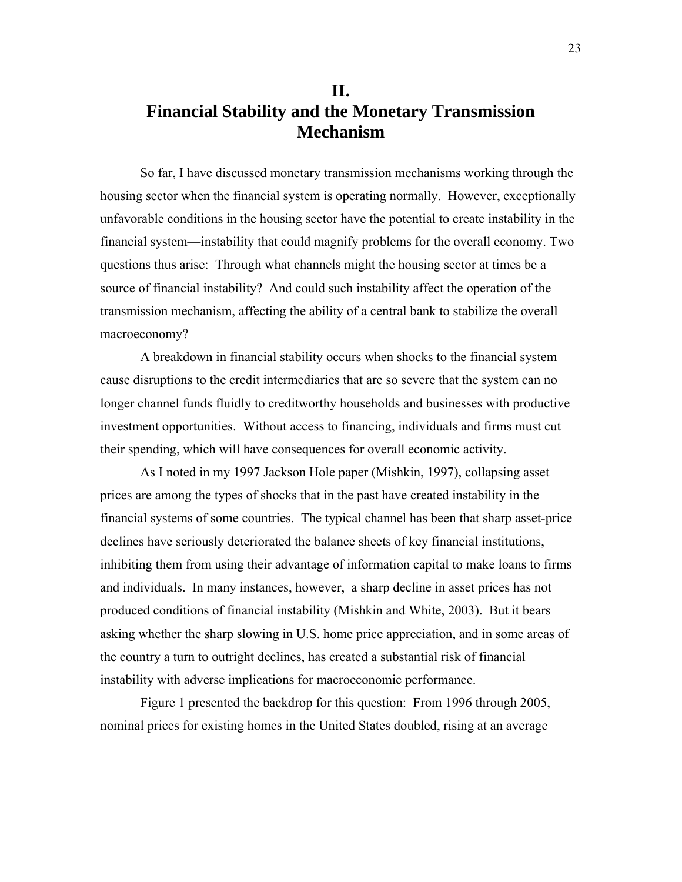# **II. Financial Stability and the Monetary Transmission Mechanism**

So far, I have discussed monetary transmission mechanisms working through the housing sector when the financial system is operating normally. However, exceptionally unfavorable conditions in the housing sector have the potential to create instability in the financial system—instability that could magnify problems for the overall economy. Two questions thus arise: Through what channels might the housing sector at times be a source of financial instability? And could such instability affect the operation of the transmission mechanism, affecting the ability of a central bank to stabilize the overall macroeconomy?

A breakdown in financial stability occurs when shocks to the financial system cause disruptions to the credit intermediaries that are so severe that the system can no longer channel funds fluidly to creditworthy households and businesses with productive investment opportunities. Without access to financing, individuals and firms must cut their spending, which will have consequences for overall economic activity.

As I noted in my 1997 Jackson Hole paper (Mishkin, 1997), collapsing asset prices are among the types of shocks that in the past have created instability in the financial systems of some countries. The typical channel has been that sharp asset-price declines have seriously deteriorated the balance sheets of key financial institutions, inhibiting them from using their advantage of information capital to make loans to firms and individuals. In many instances, however, a sharp decline in asset prices has not produced conditions of financial instability (Mishkin and White, 2003). But it bears asking whether the sharp slowing in U.S. home price appreciation, and in some areas of the country a turn to outright declines, has created a substantial risk of financial instability with adverse implications for macroeconomic performance.

Figure 1 presented the backdrop for this question: From 1996 through 2005, nominal prices for existing homes in the United States doubled, rising at an average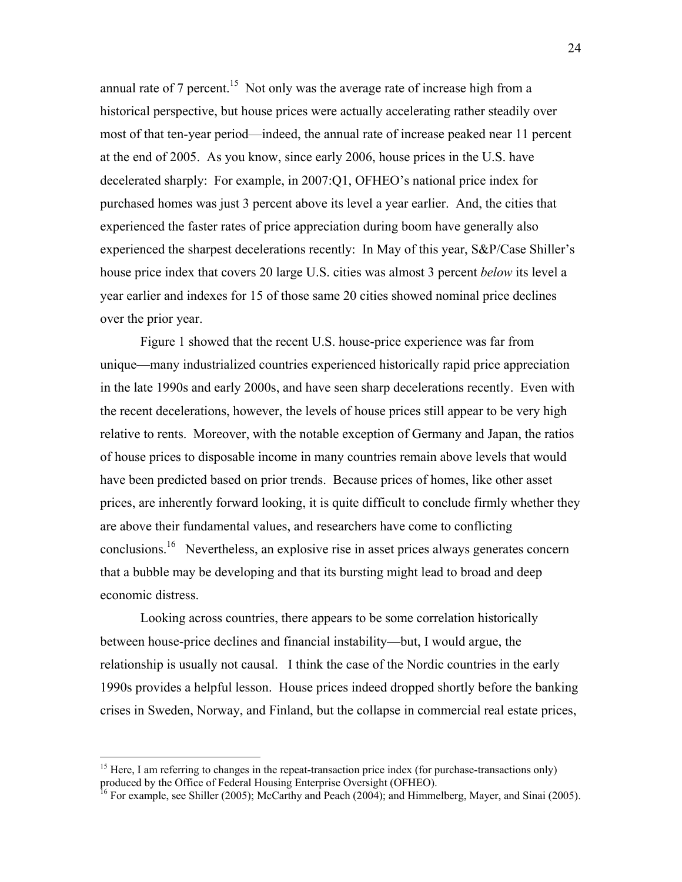annual rate of 7 percent.<sup>15</sup> Not only was the average rate of increase high from a historical perspective, but house prices were actually accelerating rather steadily over most of that ten-year period—indeed, the annual rate of increase peaked near 11 percent at the end of 2005. As you know, since early 2006, house prices in the U.S. have decelerated sharply: For example, in 2007:Q1, OFHEO's national price index for purchased homes was just 3 percent above its level a year earlier. And, the cities that experienced the faster rates of price appreciation during boom have generally also experienced the sharpest decelerations recently: In May of this year, S&P/Case Shiller's house price index that covers 20 large U.S. cities was almost 3 percent *below* its level a year earlier and indexes for 15 of those same 20 cities showed nominal price declines over the prior year.

Figure 1 showed that the recent U.S. house-price experience was far from unique—many industrialized countries experienced historically rapid price appreciation in the late 1990s and early 2000s, and have seen sharp decelerations recently. Even with the recent decelerations, however, the levels of house prices still appear to be very high relative to rents. Moreover, with the notable exception of Germany and Japan, the ratios of house prices to disposable income in many countries remain above levels that would have been predicted based on prior trends. Because prices of homes, like other asset prices, are inherently forward looking, it is quite difficult to conclude firmly whether they are above their fundamental values, and researchers have come to conflicting conclusions.16 Nevertheless, an explosive rise in asset prices always generates concern that a bubble may be developing and that its bursting might lead to broad and deep economic distress.

Looking across countries, there appears to be some correlation historically between house-price declines and financial instability—but, I would argue, the relationship is usually not causal. I think the case of the Nordic countries in the early 1990s provides a helpful lesson. House prices indeed dropped shortly before the banking crises in Sweden, Norway, and Finland, but the collapse in commercial real estate prices,

1

<sup>&</sup>lt;sup>15</sup> Here, I am referring to changes in the repeat-transaction price index (for purchase-transactions only) produced by the Office of Federal Housing Enterprise Oversight (OFHEO).

<sup>&</sup>lt;sup>16</sup> For example, see Shiller (2005); McCarthy and Peach (2004); and Himmelberg, Mayer, and Sinai (2005).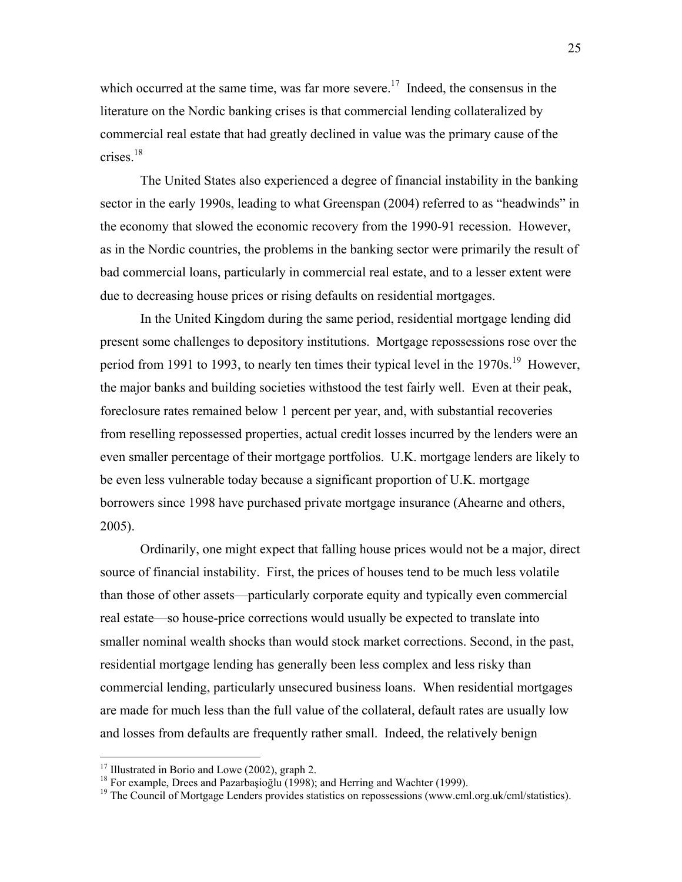which occurred at the same time, was far more severe.<sup>17</sup> Indeed, the consensus in the literature on the Nordic banking crises is that commercial lending collateralized by commercial real estate that had greatly declined in value was the primary cause of the crises.18

The United States also experienced a degree of financial instability in the banking sector in the early 1990s, leading to what Greenspan (2004) referred to as "headwinds" in the economy that slowed the economic recovery from the 1990-91 recession. However, as in the Nordic countries, the problems in the banking sector were primarily the result of bad commercial loans, particularly in commercial real estate, and to a lesser extent were due to decreasing house prices or rising defaults on residential mortgages.

In the United Kingdom during the same period, residential mortgage lending did present some challenges to depository institutions. Mortgage repossessions rose over the period from 1991 to 1993, to nearly ten times their typical level in the 1970s.<sup>19</sup> However, the major banks and building societies withstood the test fairly well. Even at their peak, foreclosure rates remained below 1 percent per year, and, with substantial recoveries from reselling repossessed properties, actual credit losses incurred by the lenders were an even smaller percentage of their mortgage portfolios. U.K. mortgage lenders are likely to be even less vulnerable today because a significant proportion of U.K. mortgage borrowers since 1998 have purchased private mortgage insurance (Ahearne and others, 2005).

Ordinarily, one might expect that falling house prices would not be a major, direct source of financial instability. First, the prices of houses tend to be much less volatile than those of other assets—particularly corporate equity and typically even commercial real estate—so house-price corrections would usually be expected to translate into smaller nominal wealth shocks than would stock market corrections. Second, in the past, residential mortgage lending has generally been less complex and less risky than commercial lending, particularly unsecured business loans. When residential mortgages are made for much less than the full value of the collateral, default rates are usually low and losses from defaults are frequently rather small. Indeed, the relatively benign

<sup>&</sup>lt;sup>17</sup> Illustrated in Borio and Lowe (2002), graph 2.<br><sup>18</sup> For example, Drees and Pazarbaşioğlu (1998); and Herring and Wachter (1999).

<sup>&</sup>lt;sup>19</sup> The Council of Mortgage Lenders provides statistics on repossessions (www.cml.org.uk/cml/statistics).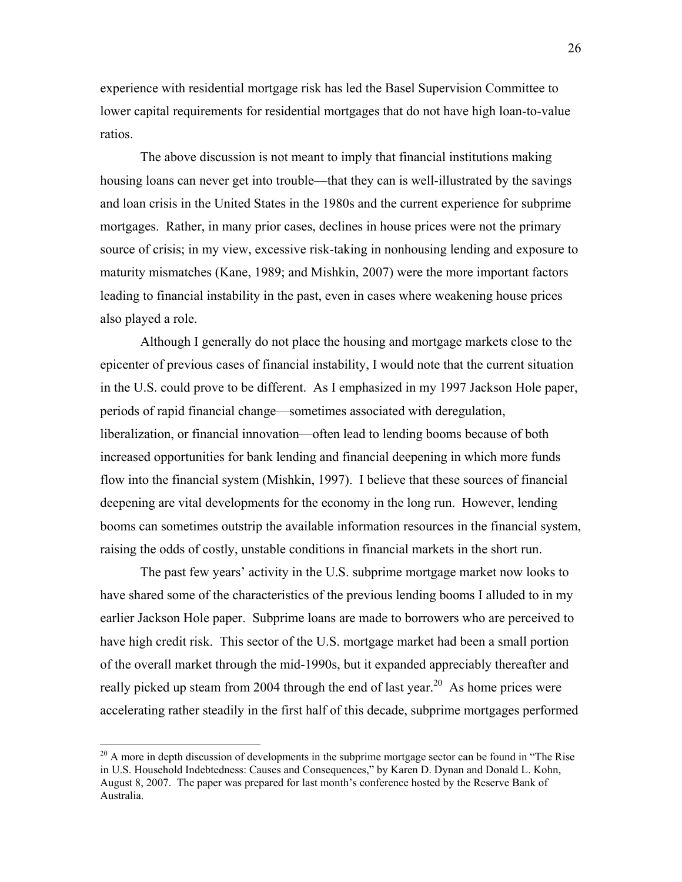experience with residential mortgage risk has led the Basel Supervision Committee to lower capital requirements for residential mortgages that do not have high loan-to-value ratios.

The above discussion is not meant to imply that financial institutions making housing loans can never get into trouble—that they can is well-illustrated by the savings and loan crisis in the United States in the 1980s and the current experience for subprime mortgages. Rather, in many prior cases, declines in house prices were not the primary source of crisis; in my view, excessive risk-taking in nonhousing lending and exposure to maturity mismatches (Kane, 1989; and Mishkin, 2007) were the more important factors leading to financial instability in the past, even in cases where weakening house prices also played a role.

Although I generally do not place the housing and mortgage markets close to the epicenter of previous cases of financial instability, I would note that the current situation in the U.S. could prove to be different. As I emphasized in my 1997 Jackson Hole paper, periods of rapid financial change—sometimes associated with deregulation, liberalization, or financial innovation—often lead to lending booms because of both increased opportunities for bank lending and financial deepening in which more funds flow into the financial system (Mishkin, 1997). I believe that these sources of financial deepening are vital developments for the economy in the long run. However, lending booms can sometimes outstrip the available information resources in the financial system, raising the odds of costly, unstable conditions in financial markets in the short run.

The past few years' activity in the U.S. subprime mortgage market now looks to have shared some of the characteristics of the previous lending booms I alluded to in my earlier Jackson Hole paper. Subprime loans are made to borrowers who are perceived to have high credit risk. This sector of the U.S. mortgage market had been a small portion of the overall market through the mid-1990s, but it expanded appreciably thereafter and really picked up steam from 2004 through the end of last year.<sup>20</sup> As home prices were accelerating rather steadily in the first half of this decade, subprime mortgages performed

<u>.</u>

 $20$  A more in depth discussion of developments in the subprime mortgage sector can be found in "The Rise" in U.S. Household Indebtedness: Causes and Consequences," by Karen D. Dynan and Donald L. Kohn, August 8, 2007. The paper was prepared for last month's conference hosted by the Reserve Bank of Australia.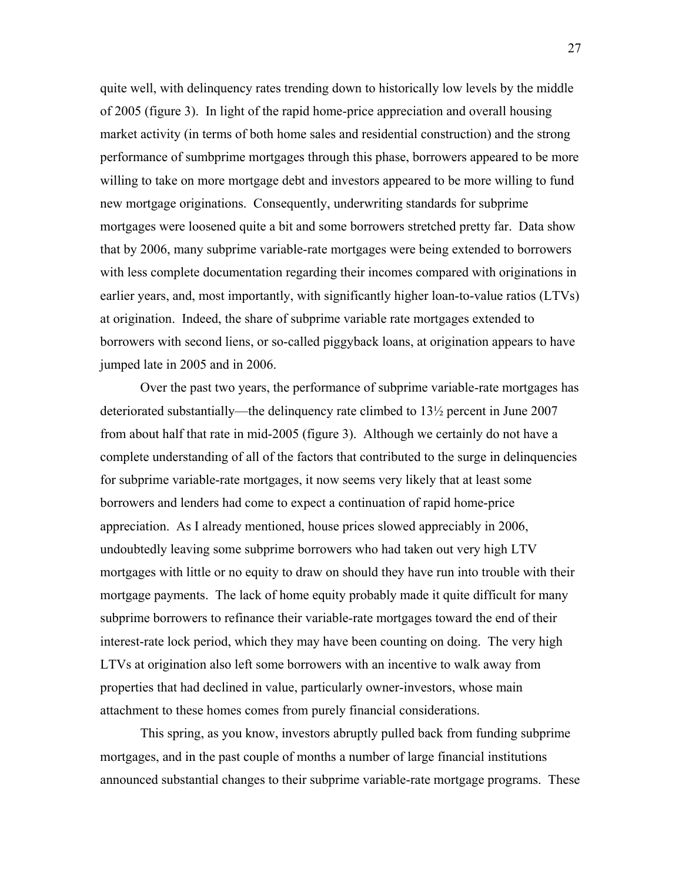quite well, with delinquency rates trending down to historically low levels by the middle of 2005 (figure 3). In light of the rapid home-price appreciation and overall housing market activity (in terms of both home sales and residential construction) and the strong performance of sumbprime mortgages through this phase, borrowers appeared to be more willing to take on more mortgage debt and investors appeared to be more willing to fund new mortgage originations. Consequently, underwriting standards for subprime mortgages were loosened quite a bit and some borrowers stretched pretty far. Data show that by 2006, many subprime variable-rate mortgages were being extended to borrowers with less complete documentation regarding their incomes compared with originations in earlier years, and, most importantly, with significantly higher loan-to-value ratios (LTVs) at origination. Indeed, the share of subprime variable rate mortgages extended to borrowers with second liens, or so-called piggyback loans, at origination appears to have jumped late in 2005 and in 2006.

 Over the past two years, the performance of subprime variable-rate mortgages has deteriorated substantially—the delinquency rate climbed to 13½ percent in June 2007 from about half that rate in mid-2005 (figure 3). Although we certainly do not have a complete understanding of all of the factors that contributed to the surge in delinquencies for subprime variable-rate mortgages, it now seems very likely that at least some borrowers and lenders had come to expect a continuation of rapid home-price appreciation. As I already mentioned, house prices slowed appreciably in 2006, undoubtedly leaving some subprime borrowers who had taken out very high LTV mortgages with little or no equity to draw on should they have run into trouble with their mortgage payments. The lack of home equity probably made it quite difficult for many subprime borrowers to refinance their variable-rate mortgages toward the end of their interest-rate lock period, which they may have been counting on doing. The very high LTVs at origination also left some borrowers with an incentive to walk away from properties that had declined in value, particularly owner-investors, whose main attachment to these homes comes from purely financial considerations.

This spring, as you know, investors abruptly pulled back from funding subprime mortgages, and in the past couple of months a number of large financial institutions announced substantial changes to their subprime variable-rate mortgage programs. These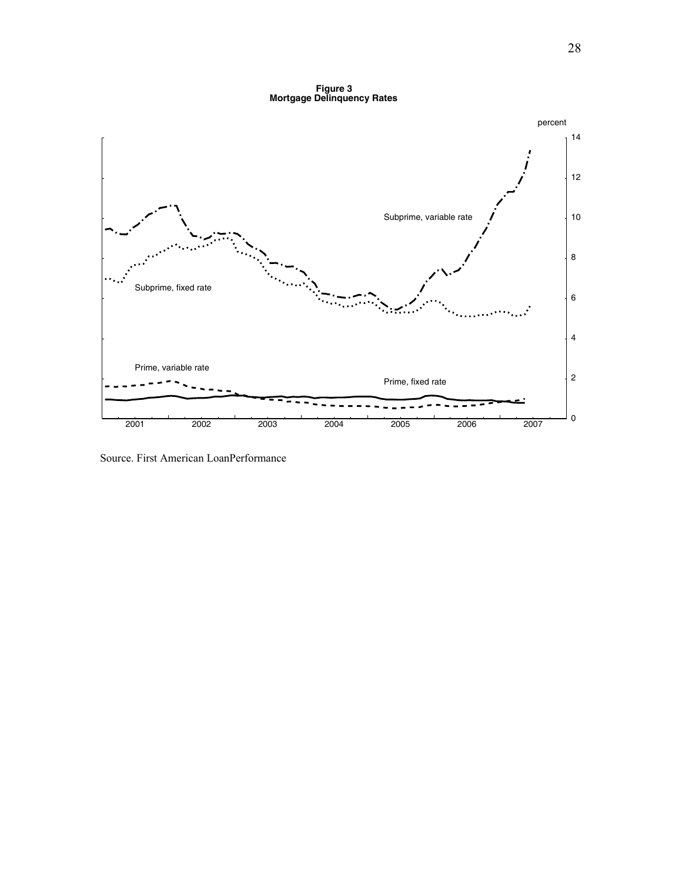**Figure 3 Mortgage Delinquency Rates**



Source. First American LoanPerformance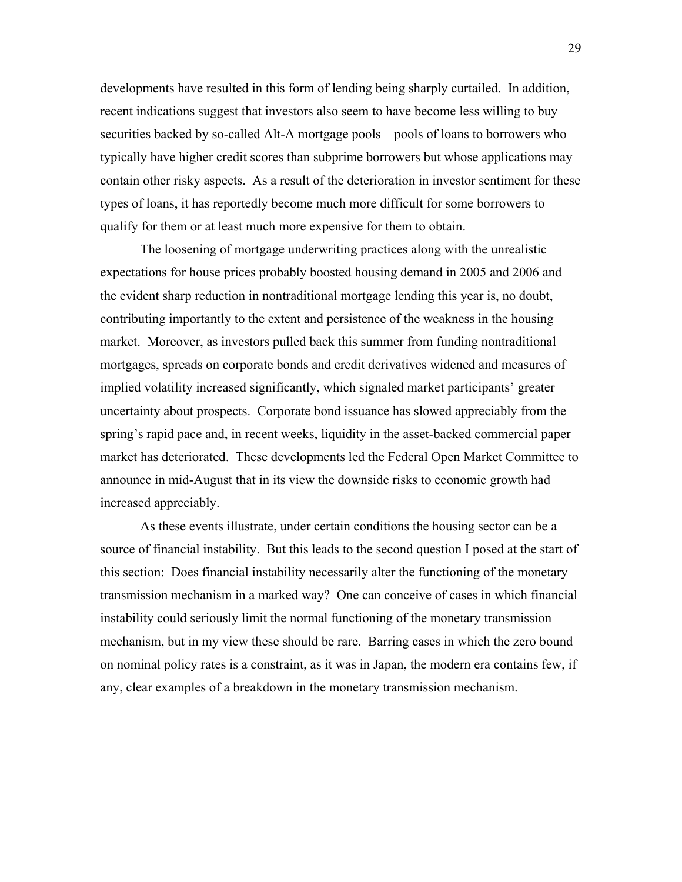developments have resulted in this form of lending being sharply curtailed. In addition, recent indications suggest that investors also seem to have become less willing to buy securities backed by so-called Alt-A mortgage pools—pools of loans to borrowers who typically have higher credit scores than subprime borrowers but whose applications may contain other risky aspects. As a result of the deterioration in investor sentiment for these types of loans, it has reportedly become much more difficult for some borrowers to qualify for them or at least much more expensive for them to obtain.

The loosening of mortgage underwriting practices along with the unrealistic expectations for house prices probably boosted housing demand in 2005 and 2006 and the evident sharp reduction in nontraditional mortgage lending this year is, no doubt, contributing importantly to the extent and persistence of the weakness in the housing market. Moreover, as investors pulled back this summer from funding nontraditional mortgages, spreads on corporate bonds and credit derivatives widened and measures of implied volatility increased significantly, which signaled market participants' greater uncertainty about prospects. Corporate bond issuance has slowed appreciably from the spring's rapid pace and, in recent weeks, liquidity in the asset-backed commercial paper market has deteriorated. These developments led the Federal Open Market Committee to announce in mid-August that in its view the downside risks to economic growth had increased appreciably.

As these events illustrate, under certain conditions the housing sector can be a source of financial instability. But this leads to the second question I posed at the start of this section: Does financial instability necessarily alter the functioning of the monetary transmission mechanism in a marked way? One can conceive of cases in which financial instability could seriously limit the normal functioning of the monetary transmission mechanism, but in my view these should be rare. Barring cases in which the zero bound on nominal policy rates is a constraint, as it was in Japan, the modern era contains few, if any, clear examples of a breakdown in the monetary transmission mechanism.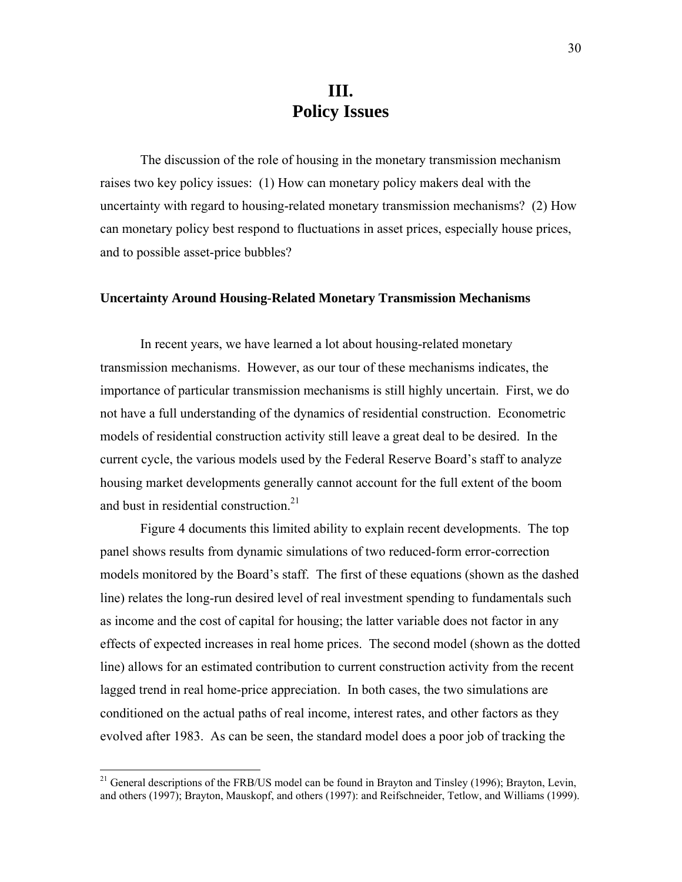# **III. Policy Issues**

The discussion of the role of housing in the monetary transmission mechanism raises two key policy issues: (1) How can monetary policy makers deal with the uncertainty with regard to housing-related monetary transmission mechanisms? (2) How can monetary policy best respond to fluctuations in asset prices, especially house prices, and to possible asset-price bubbles?

#### **Uncertainty Around Housing-Related Monetary Transmission Mechanisms**

In recent years, we have learned a lot about housing-related monetary transmission mechanisms. However, as our tour of these mechanisms indicates, the importance of particular transmission mechanisms is still highly uncertain. First, we do not have a full understanding of the dynamics of residential construction. Econometric models of residential construction activity still leave a great deal to be desired. In the current cycle, the various models used by the Federal Reserve Board's staff to analyze housing market developments generally cannot account for the full extent of the boom and bust in residential construction.<sup>21</sup>

Figure 4 documents this limited ability to explain recent developments. The top panel shows results from dynamic simulations of two reduced-form error-correction models monitored by the Board's staff. The first of these equations (shown as the dashed line) relates the long-run desired level of real investment spending to fundamentals such as income and the cost of capital for housing; the latter variable does not factor in any effects of expected increases in real home prices. The second model (shown as the dotted line) allows for an estimated contribution to current construction activity from the recent lagged trend in real home-price appreciation. In both cases, the two simulations are conditioned on the actual paths of real income, interest rates, and other factors as they evolved after 1983. As can be seen, the standard model does a poor job of tracking the

1

<sup>&</sup>lt;sup>21</sup> General descriptions of the FRB/US model can be found in Brayton and Tinsley (1996); Brayton, Levin, and others (1997); Brayton, Mauskopf, and others (1997): and Reifschneider, Tetlow, and Williams (1999).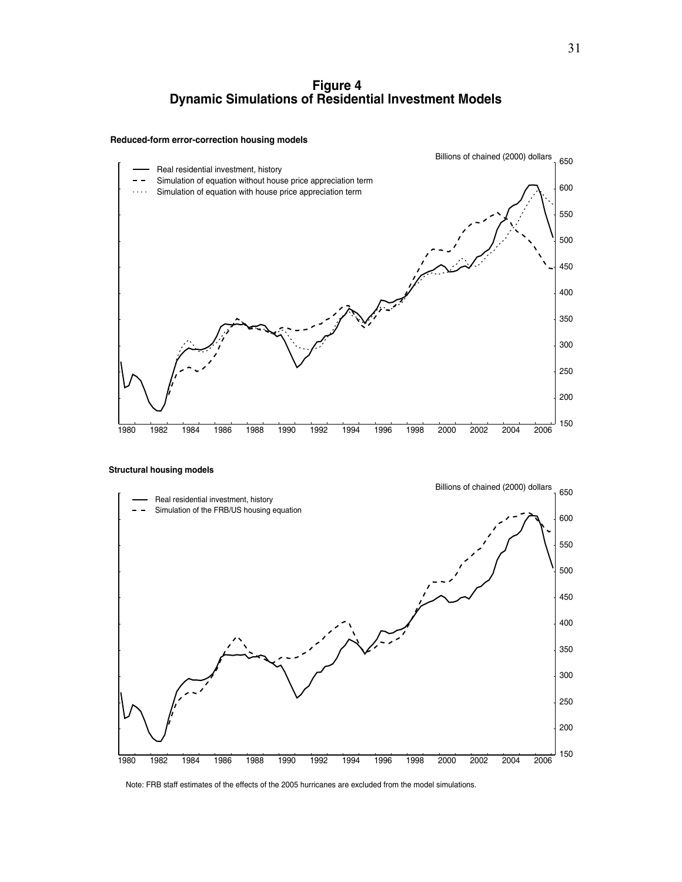#### **Figure 4 Dynamic Simulations of Residential Investment Models**

#### **Reduced-form error-correction housing models**



 **Structural housing models**



Note: FRB staff estimates of the effects of the 2005 hurricanes are excluded from the model simulations.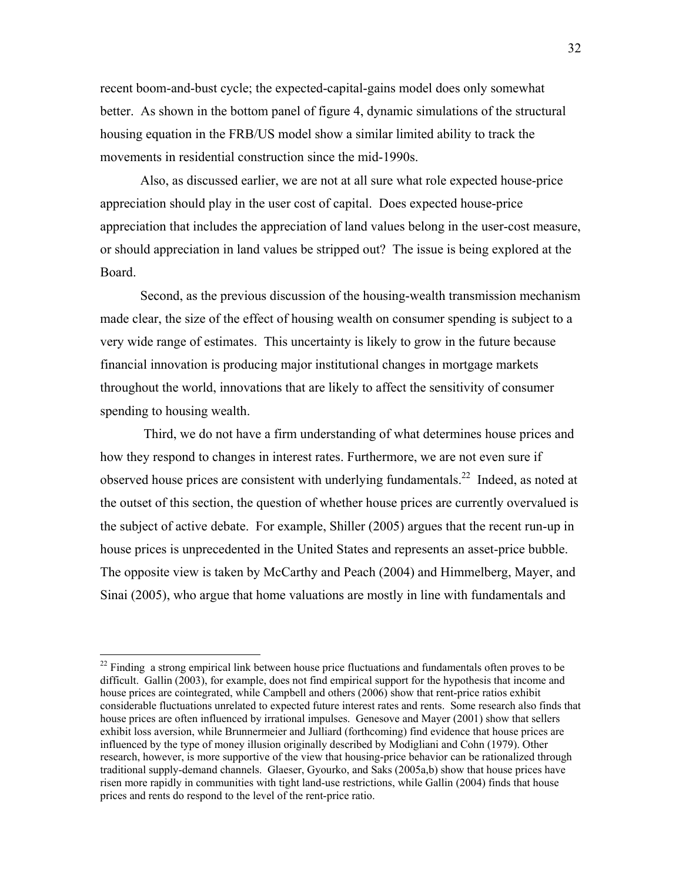recent boom-and-bust cycle; the expected-capital-gains model does only somewhat better. As shown in the bottom panel of figure 4, dynamic simulations of the structural housing equation in the FRB/US model show a similar limited ability to track the movements in residential construction since the mid-1990s.

Also, as discussed earlier, we are not at all sure what role expected house-price appreciation should play in the user cost of capital. Does expected house-price appreciation that includes the appreciation of land values belong in the user-cost measure, or should appreciation in land values be stripped out? The issue is being explored at the Board.

Second, as the previous discussion of the housing-wealth transmission mechanism made clear, the size of the effect of housing wealth on consumer spending is subject to a very wide range of estimates. This uncertainty is likely to grow in the future because financial innovation is producing major institutional changes in mortgage markets throughout the world, innovations that are likely to affect the sensitivity of consumer spending to housing wealth.

 Third, we do not have a firm understanding of what determines house prices and how they respond to changes in interest rates. Furthermore, we are not even sure if observed house prices are consistent with underlying fundamentals.<sup>22</sup> Indeed, as noted at the outset of this section, the question of whether house prices are currently overvalued is the subject of active debate. For example, Shiller (2005) argues that the recent run-up in house prices is unprecedented in the United States and represents an asset-price bubble. The opposite view is taken by McCarthy and Peach (2004) and Himmelberg, Mayer, and Sinai (2005), who argue that home valuations are mostly in line with fundamentals and

<sup>&</sup>lt;sup>22</sup> Finding a strong empirical link between house price fluctuations and fundamentals often proves to be difficult. Gallin (2003), for example, does not find empirical support for the hypothesis that income and house prices are cointegrated, while Campbell and others (2006) show that rent-price ratios exhibit considerable fluctuations unrelated to expected future interest rates and rents. Some research also finds that house prices are often influenced by irrational impulses. Genesove and Mayer (2001) show that sellers exhibit loss aversion, while Brunnermeier and Julliard (forthcoming) find evidence that house prices are influenced by the type of money illusion originally described by Modigliani and Cohn (1979). Other research, however, is more supportive of the view that housing-price behavior can be rationalized through traditional supply-demand channels. Glaeser, Gyourko, and Saks (2005a,b) show that house prices have risen more rapidly in communities with tight land-use restrictions, while Gallin (2004) finds that house prices and rents do respond to the level of the rent-price ratio.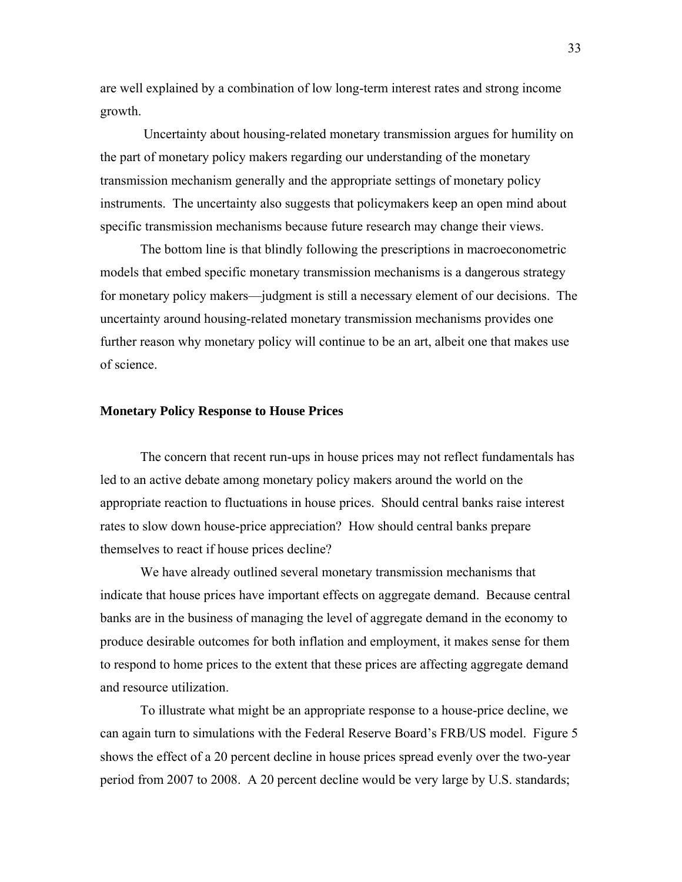are well explained by a combination of low long-term interest rates and strong income growth.

 Uncertainty about housing-related monetary transmission argues for humility on the part of monetary policy makers regarding our understanding of the monetary transmission mechanism generally and the appropriate settings of monetary policy instruments. The uncertainty also suggests that policymakers keep an open mind about specific transmission mechanisms because future research may change their views.

The bottom line is that blindly following the prescriptions in macroeconometric models that embed specific monetary transmission mechanisms is a dangerous strategy for monetary policy makers—judgment is still a necessary element of our decisions. The uncertainty around housing-related monetary transmission mechanisms provides one further reason why monetary policy will continue to be an art, albeit one that makes use of science.

#### **Monetary Policy Response to House Prices**

The concern that recent run-ups in house prices may not reflect fundamentals has led to an active debate among monetary policy makers around the world on the appropriate reaction to fluctuations in house prices. Should central banks raise interest rates to slow down house-price appreciation? How should central banks prepare themselves to react if house prices decline?

We have already outlined several monetary transmission mechanisms that indicate that house prices have important effects on aggregate demand. Because central banks are in the business of managing the level of aggregate demand in the economy to produce desirable outcomes for both inflation and employment, it makes sense for them to respond to home prices to the extent that these prices are affecting aggregate demand and resource utilization.

To illustrate what might be an appropriate response to a house-price decline, we can again turn to simulations with the Federal Reserve Board's FRB/US model. Figure 5 shows the effect of a 20 percent decline in house prices spread evenly over the two-year period from 2007 to 2008. A 20 percent decline would be very large by U.S. standards;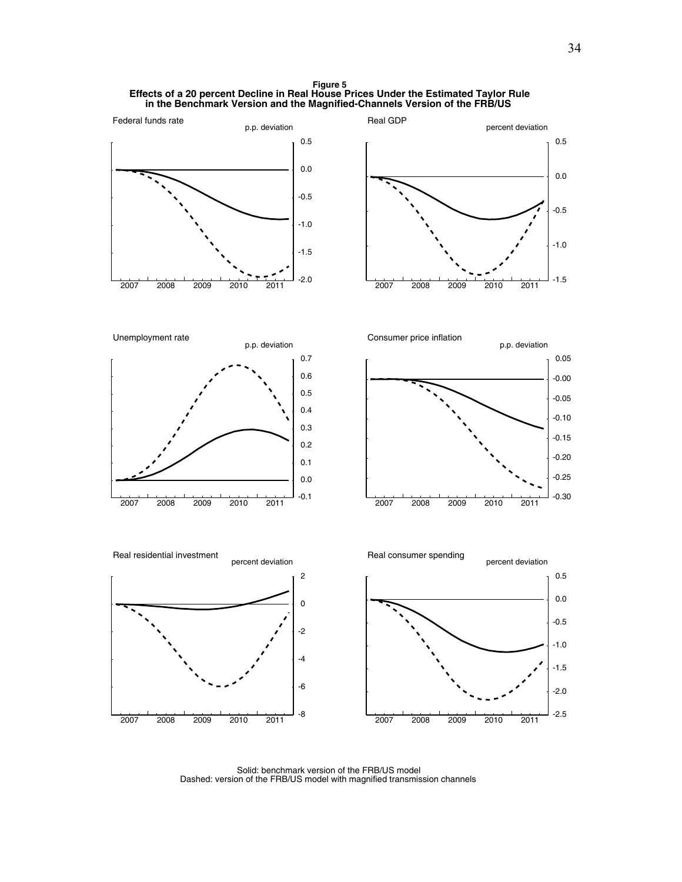**Figure 5 Effects of a 20 percent Decline in Real House Prices Under the Estimated Taylor Rule in the Benchmark Version and the Magnified-Channels Version of the FRB/US** 



Solid: benchmark version of the FRB/US model Dashed: version of the FRB/US model with magnified transmission channels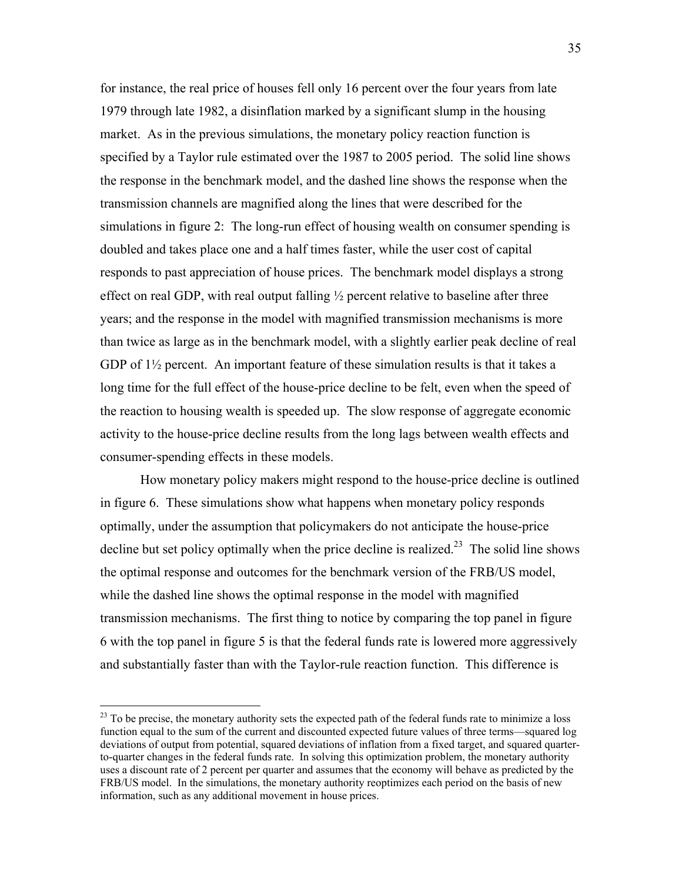for instance, the real price of houses fell only 16 percent over the four years from late 1979 through late 1982, a disinflation marked by a significant slump in the housing market. As in the previous simulations, the monetary policy reaction function is specified by a Taylor rule estimated over the 1987 to 2005 period. The solid line shows the response in the benchmark model, and the dashed line shows the response when the transmission channels are magnified along the lines that were described for the simulations in figure 2: The long-run effect of housing wealth on consumer spending is doubled and takes place one and a half times faster, while the user cost of capital responds to past appreciation of house prices. The benchmark model displays a strong effect on real GDP, with real output falling  $\frac{1}{2}$  percent relative to baseline after three years; and the response in the model with magnified transmission mechanisms is more than twice as large as in the benchmark model, with a slightly earlier peak decline of real GDP of  $1\frac{1}{2}$  percent. An important feature of these simulation results is that it takes a long time for the full effect of the house-price decline to be felt, even when the speed of the reaction to housing wealth is speeded up. The slow response of aggregate economic activity to the house-price decline results from the long lags between wealth effects and consumer-spending effects in these models.

How monetary policy makers might respond to the house-price decline is outlined in figure 6. These simulations show what happens when monetary policy responds optimally, under the assumption that policymakers do not anticipate the house-price decline but set policy optimally when the price decline is realized.<sup>23</sup> The solid line shows the optimal response and outcomes for the benchmark version of the FRB/US model, while the dashed line shows the optimal response in the model with magnified transmission mechanisms. The first thing to notice by comparing the top panel in figure 6 with the top panel in figure 5 is that the federal funds rate is lowered more aggressively and substantially faster than with the Taylor-rule reaction function. This difference is

 $^{23}$  To be precise, the monetary authority sets the expected path of the federal funds rate to minimize a loss function equal to the sum of the current and discounted expected future values of three terms—squared log deviations of output from potential, squared deviations of inflation from a fixed target, and squared quarterto-quarter changes in the federal funds rate. In solving this optimization problem, the monetary authority uses a discount rate of 2 percent per quarter and assumes that the economy will behave as predicted by the FRB/US model. In the simulations, the monetary authority reoptimizes each period on the basis of new information, such as any additional movement in house prices.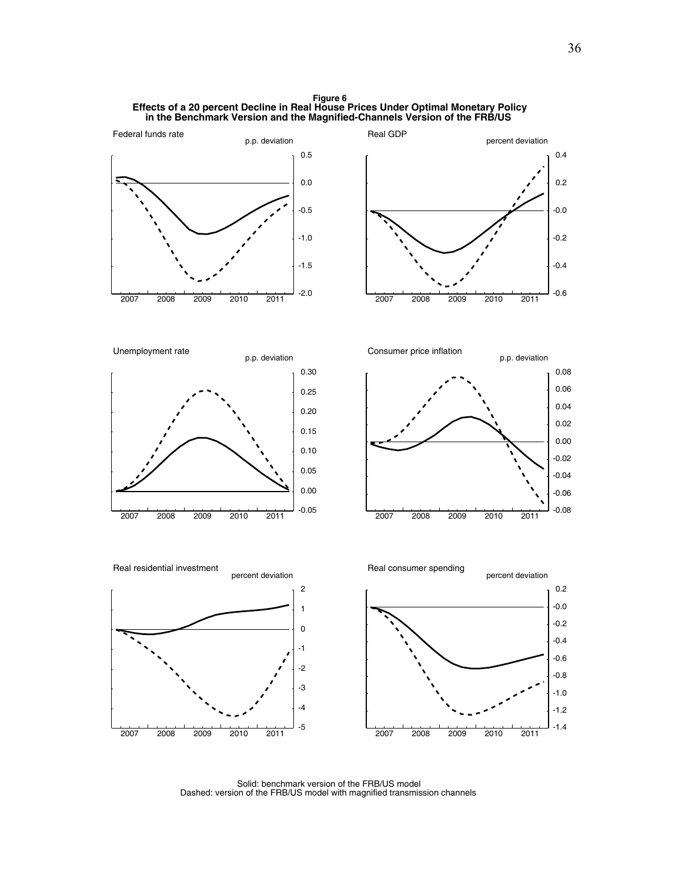**Figure 6 Effects of a 20 percent Decline in Real House Prices Under Optimal Monetary Policy in the Benchmark Version and the Magnified-Channels Version of the FRB/US** 



Solid: benchmark version of the FRB/US model Dashed: version of the FRB/US model with magnified transmission channels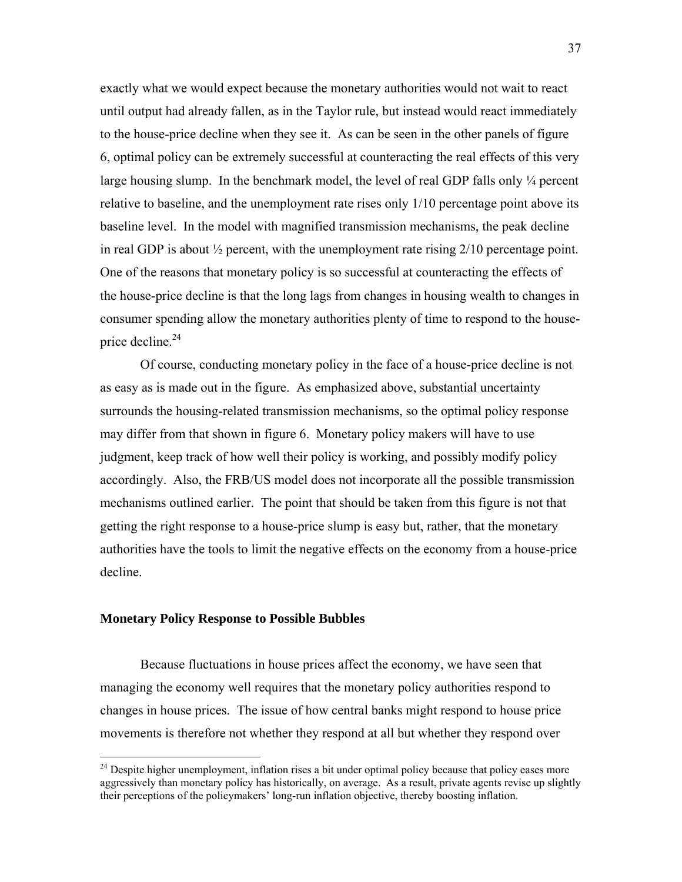exactly what we would expect because the monetary authorities would not wait to react until output had already fallen, as in the Taylor rule, but instead would react immediately to the house-price decline when they see it. As can be seen in the other panels of figure 6, optimal policy can be extremely successful at counteracting the real effects of this very large housing slump. In the benchmark model, the level of real GDP falls only  $\frac{1}{4}$  percent relative to baseline, and the unemployment rate rises only 1/10 percentage point above its baseline level. In the model with magnified transmission mechanisms, the peak decline in real GDP is about  $\frac{1}{2}$  percent, with the unemployment rate rising  $2/10$  percentage point. One of the reasons that monetary policy is so successful at counteracting the effects of the house-price decline is that the long lags from changes in housing wealth to changes in consumer spending allow the monetary authorities plenty of time to respond to the houseprice decline. $24$ 

Of course, conducting monetary policy in the face of a house-price decline is not as easy as is made out in the figure. As emphasized above, substantial uncertainty surrounds the housing-related transmission mechanisms, so the optimal policy response may differ from that shown in figure 6. Monetary policy makers will have to use judgment, keep track of how well their policy is working, and possibly modify policy accordingly. Also, the FRB/US model does not incorporate all the possible transmission mechanisms outlined earlier. The point that should be taken from this figure is not that getting the right response to a house-price slump is easy but, rather, that the monetary authorities have the tools to limit the negative effects on the economy from a house-price decline.

#### **Monetary Policy Response to Possible Bubbles**

1

Because fluctuations in house prices affect the economy, we have seen that managing the economy well requires that the monetary policy authorities respond to changes in house prices. The issue of how central banks might respond to house price movements is therefore not whether they respond at all but whether they respond over

<sup>&</sup>lt;sup>24</sup> Despite higher unemployment, inflation rises a bit under optimal policy because that policy eases more aggressively than monetary policy has historically, on average. As a result, private agents revise up slightly their perceptions of the policymakers' long-run inflation objective, thereby boosting inflation.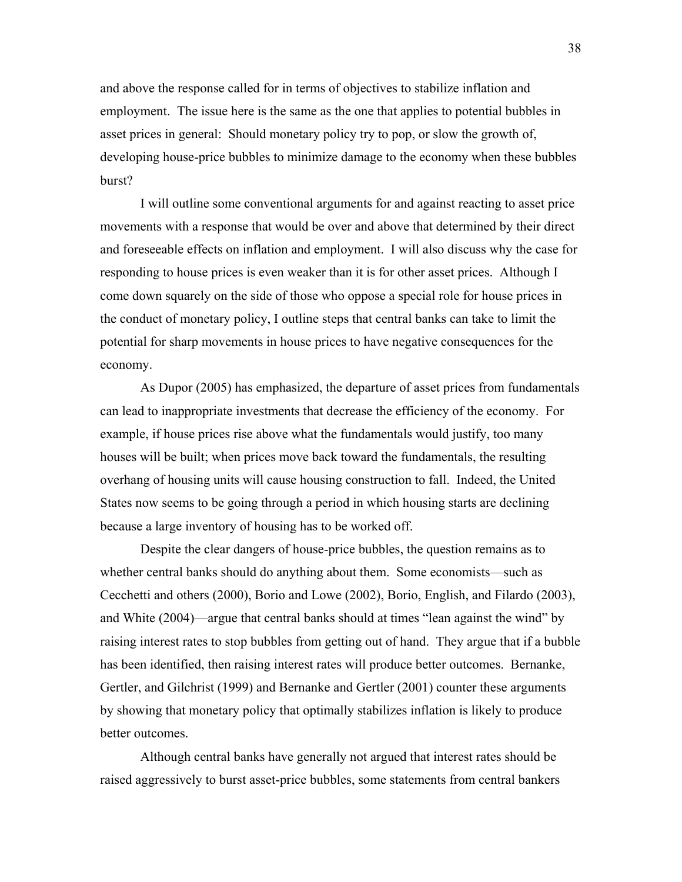and above the response called for in terms of objectives to stabilize inflation and employment. The issue here is the same as the one that applies to potential bubbles in asset prices in general: Should monetary policy try to pop, or slow the growth of, developing house-price bubbles to minimize damage to the economy when these bubbles burst?

I will outline some conventional arguments for and against reacting to asset price movements with a response that would be over and above that determined by their direct and foreseeable effects on inflation and employment. I will also discuss why the case for responding to house prices is even weaker than it is for other asset prices. Although I come down squarely on the side of those who oppose a special role for house prices in the conduct of monetary policy, I outline steps that central banks can take to limit the potential for sharp movements in house prices to have negative consequences for the economy.

As Dupor (2005) has emphasized, the departure of asset prices from fundamentals can lead to inappropriate investments that decrease the efficiency of the economy. For example, if house prices rise above what the fundamentals would justify, too many houses will be built; when prices move back toward the fundamentals, the resulting overhang of housing units will cause housing construction to fall. Indeed, the United States now seems to be going through a period in which housing starts are declining because a large inventory of housing has to be worked off.

Despite the clear dangers of house-price bubbles, the question remains as to whether central banks should do anything about them. Some economists—such as Cecchetti and others (2000), Borio and Lowe (2002), Borio, English, and Filardo (2003), and White (2004)—argue that central banks should at times "lean against the wind" by raising interest rates to stop bubbles from getting out of hand. They argue that if a bubble has been identified, then raising interest rates will produce better outcomes. Bernanke, Gertler, and Gilchrist (1999) and Bernanke and Gertler (2001) counter these arguments by showing that monetary policy that optimally stabilizes inflation is likely to produce better outcomes.

Although central banks have generally not argued that interest rates should be raised aggressively to burst asset-price bubbles, some statements from central bankers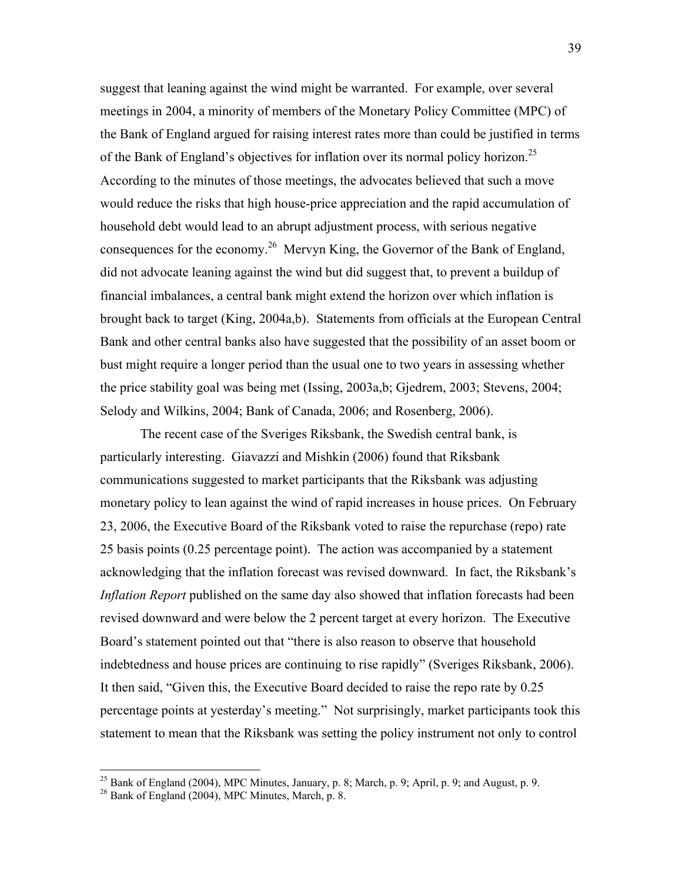suggest that leaning against the wind might be warranted. For example, over several meetings in 2004, a minority of members of the Monetary Policy Committee (MPC) of the Bank of England argued for raising interest rates more than could be justified in terms of the Bank of England's objectives for inflation over its normal policy horizon.<sup>25</sup> According to the minutes of those meetings, the advocates believed that such a move would reduce the risks that high house-price appreciation and the rapid accumulation of household debt would lead to an abrupt adjustment process, with serious negative consequences for the economy.26 Mervyn King, the Governor of the Bank of England, did not advocate leaning against the wind but did suggest that, to prevent a buildup of financial imbalances, a central bank might extend the horizon over which inflation is brought back to target (King, 2004a,b). Statements from officials at the European Central Bank and other central banks also have suggested that the possibility of an asset boom or bust might require a longer period than the usual one to two years in assessing whether the price stability goal was being met (Issing, 2003a,b; Gjedrem, 2003; Stevens, 2004; Selody and Wilkins, 2004; Bank of Canada, 2006; and Rosenberg, 2006).

The recent case of the Sveriges Riksbank, the Swedish central bank, is particularly interesting. Giavazzi and Mishkin (2006) found that Riksbank communications suggested to market participants that the Riksbank was adjusting monetary policy to lean against the wind of rapid increases in house prices. On February 23, 2006, the Executive Board of the Riksbank voted to raise the repurchase (repo) rate 25 basis points (0.25 percentage point). The action was accompanied by a statement acknowledging that the inflation forecast was revised downward. In fact, the Riksbank's *Inflation Report* published on the same day also showed that inflation forecasts had been revised downward and were below the 2 percent target at every horizon. The Executive Board's statement pointed out that "there is also reason to observe that household indebtedness and house prices are continuing to rise rapidly" (Sveriges Riksbank, 2006). It then said, "Given this, the Executive Board decided to raise the repo rate by 0.25 percentage points at yesterday's meeting." Not surprisingly, market participants took this statement to mean that the Riksbank was setting the policy instrument not only to control

1

<sup>&</sup>lt;sup>25</sup> Bank of England (2004), MPC Minutes, January, p. 8; March, p. 9; April, p. 9; and August, p. 9.

 $26$  Bank of England (2004), MPC Minutes, March, p. 8.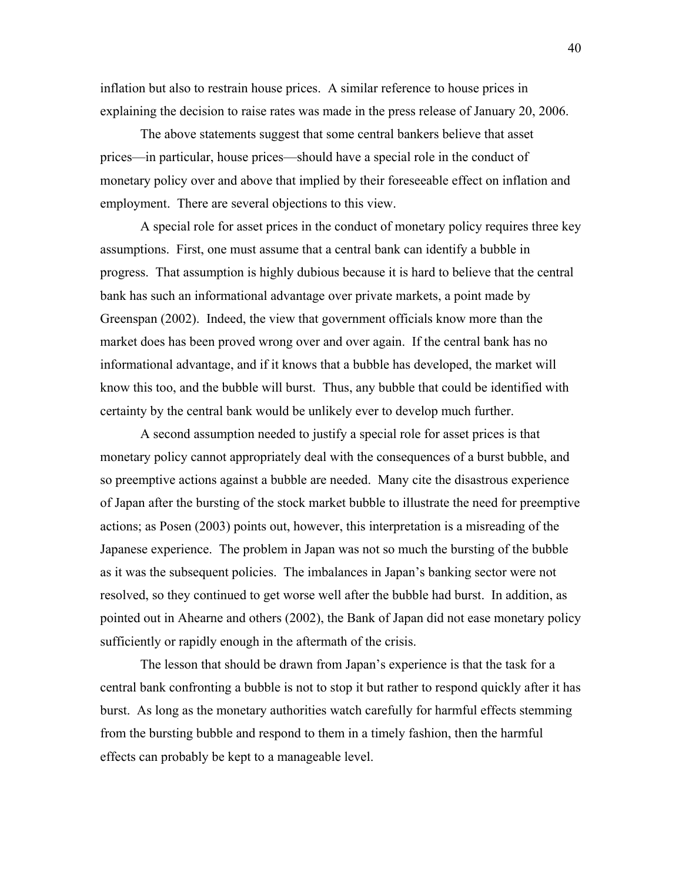inflation but also to restrain house prices. A similar reference to house prices in explaining the decision to raise rates was made in the press release of January 20, 2006.

The above statements suggest that some central bankers believe that asset prices—in particular, house prices—should have a special role in the conduct of monetary policy over and above that implied by their foreseeable effect on inflation and employment. There are several objections to this view.

A special role for asset prices in the conduct of monetary policy requires three key assumptions. First, one must assume that a central bank can identify a bubble in progress. That assumption is highly dubious because it is hard to believe that the central bank has such an informational advantage over private markets, a point made by Greenspan (2002). Indeed, the view that government officials know more than the market does has been proved wrong over and over again. If the central bank has no informational advantage, and if it knows that a bubble has developed, the market will know this too, and the bubble will burst. Thus, any bubble that could be identified with certainty by the central bank would be unlikely ever to develop much further.

A second assumption needed to justify a special role for asset prices is that monetary policy cannot appropriately deal with the consequences of a burst bubble, and so preemptive actions against a bubble are needed. Many cite the disastrous experience of Japan after the bursting of the stock market bubble to illustrate the need for preemptive actions; as Posen (2003) points out, however, this interpretation is a misreading of the Japanese experience. The problem in Japan was not so much the bursting of the bubble as it was the subsequent policies. The imbalances in Japan's banking sector were not resolved, so they continued to get worse well after the bubble had burst. In addition, as pointed out in Ahearne and others (2002), the Bank of Japan did not ease monetary policy sufficiently or rapidly enough in the aftermath of the crisis.

The lesson that should be drawn from Japan's experience is that the task for a central bank confronting a bubble is not to stop it but rather to respond quickly after it has burst. As long as the monetary authorities watch carefully for harmful effects stemming from the bursting bubble and respond to them in a timely fashion, then the harmful effects can probably be kept to a manageable level.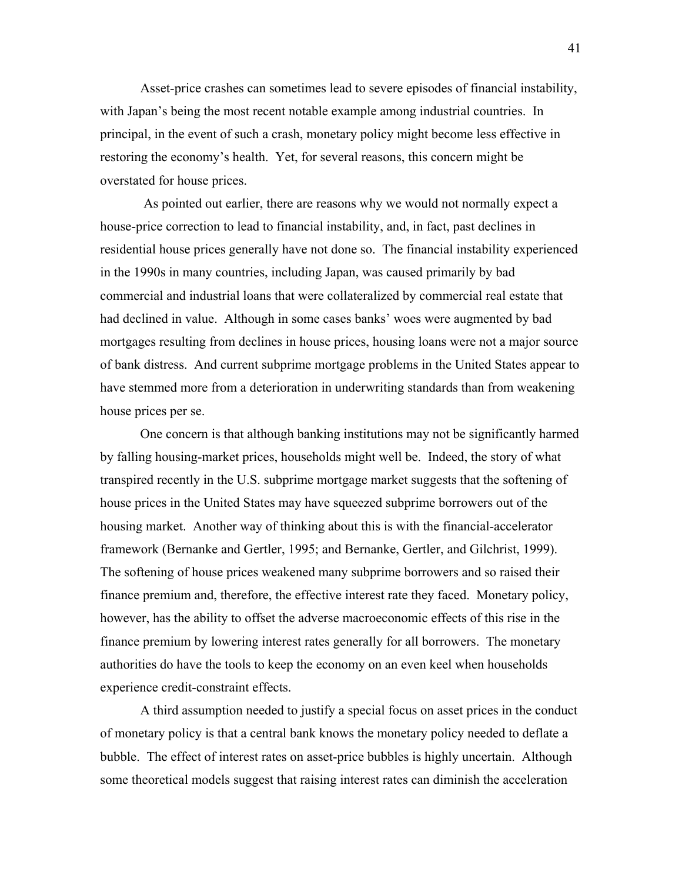Asset-price crashes can sometimes lead to severe episodes of financial instability, with Japan's being the most recent notable example among industrial countries. In principal, in the event of such a crash, monetary policy might become less effective in restoring the economy's health. Yet, for several reasons, this concern might be overstated for house prices.

 As pointed out earlier, there are reasons why we would not normally expect a house-price correction to lead to financial instability, and, in fact, past declines in residential house prices generally have not done so. The financial instability experienced in the 1990s in many countries, including Japan, was caused primarily by bad commercial and industrial loans that were collateralized by commercial real estate that had declined in value. Although in some cases banks' woes were augmented by bad mortgages resulting from declines in house prices, housing loans were not a major source of bank distress. And current subprime mortgage problems in the United States appear to have stemmed more from a deterioration in underwriting standards than from weakening house prices per se.

One concern is that although banking institutions may not be significantly harmed by falling housing-market prices, households might well be. Indeed, the story of what transpired recently in the U.S. subprime mortgage market suggests that the softening of house prices in the United States may have squeezed subprime borrowers out of the housing market. Another way of thinking about this is with the financial-accelerator framework (Bernanke and Gertler, 1995; and Bernanke, Gertler, and Gilchrist, 1999). The softening of house prices weakened many subprime borrowers and so raised their finance premium and, therefore, the effective interest rate they faced. Monetary policy, however, has the ability to offset the adverse macroeconomic effects of this rise in the finance premium by lowering interest rates generally for all borrowers. The monetary authorities do have the tools to keep the economy on an even keel when households experience credit-constraint effects.

A third assumption needed to justify a special focus on asset prices in the conduct of monetary policy is that a central bank knows the monetary policy needed to deflate a bubble. The effect of interest rates on asset-price bubbles is highly uncertain. Although some theoretical models suggest that raising interest rates can diminish the acceleration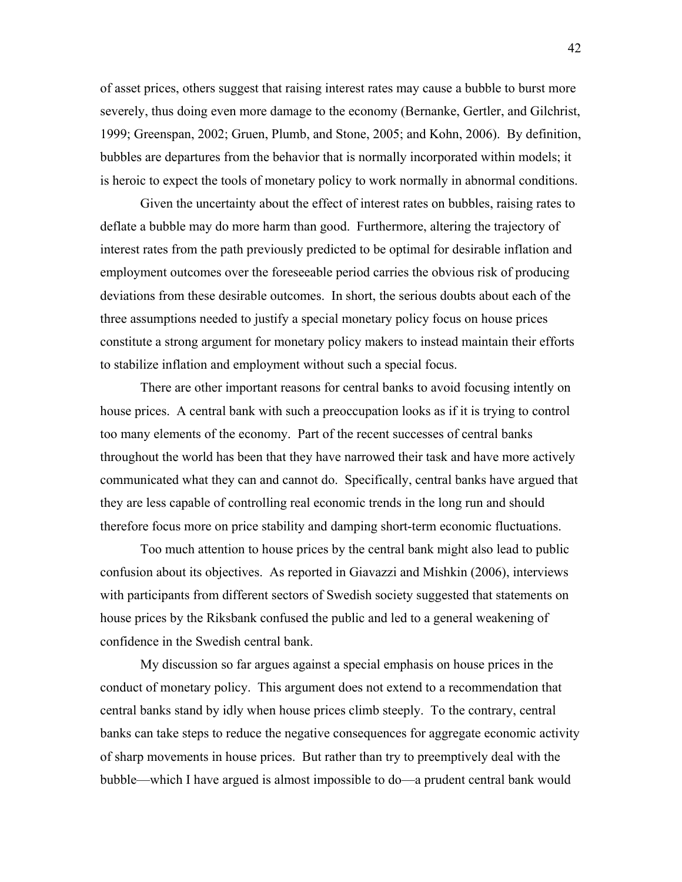of asset prices, others suggest that raising interest rates may cause a bubble to burst more severely, thus doing even more damage to the economy (Bernanke, Gertler, and Gilchrist, 1999; Greenspan, 2002; Gruen, Plumb, and Stone, 2005; and Kohn, 2006). By definition, bubbles are departures from the behavior that is normally incorporated within models; it is heroic to expect the tools of monetary policy to work normally in abnormal conditions.

Given the uncertainty about the effect of interest rates on bubbles, raising rates to deflate a bubble may do more harm than good. Furthermore, altering the trajectory of interest rates from the path previously predicted to be optimal for desirable inflation and employment outcomes over the foreseeable period carries the obvious risk of producing deviations from these desirable outcomes. In short, the serious doubts about each of the three assumptions needed to justify a special monetary policy focus on house prices constitute a strong argument for monetary policy makers to instead maintain their efforts to stabilize inflation and employment without such a special focus.

There are other important reasons for central banks to avoid focusing intently on house prices. A central bank with such a preoccupation looks as if it is trying to control too many elements of the economy. Part of the recent successes of central banks throughout the world has been that they have narrowed their task and have more actively communicated what they can and cannot do. Specifically, central banks have argued that they are less capable of controlling real economic trends in the long run and should therefore focus more on price stability and damping short-term economic fluctuations.

Too much attention to house prices by the central bank might also lead to public confusion about its objectives. As reported in Giavazzi and Mishkin (2006), interviews with participants from different sectors of Swedish society suggested that statements on house prices by the Riksbank confused the public and led to a general weakening of confidence in the Swedish central bank.

My discussion so far argues against a special emphasis on house prices in the conduct of monetary policy. This argument does not extend to a recommendation that central banks stand by idly when house prices climb steeply. To the contrary, central banks can take steps to reduce the negative consequences for aggregate economic activity of sharp movements in house prices. But rather than try to preemptively deal with the bubble—which I have argued is almost impossible to do—a prudent central bank would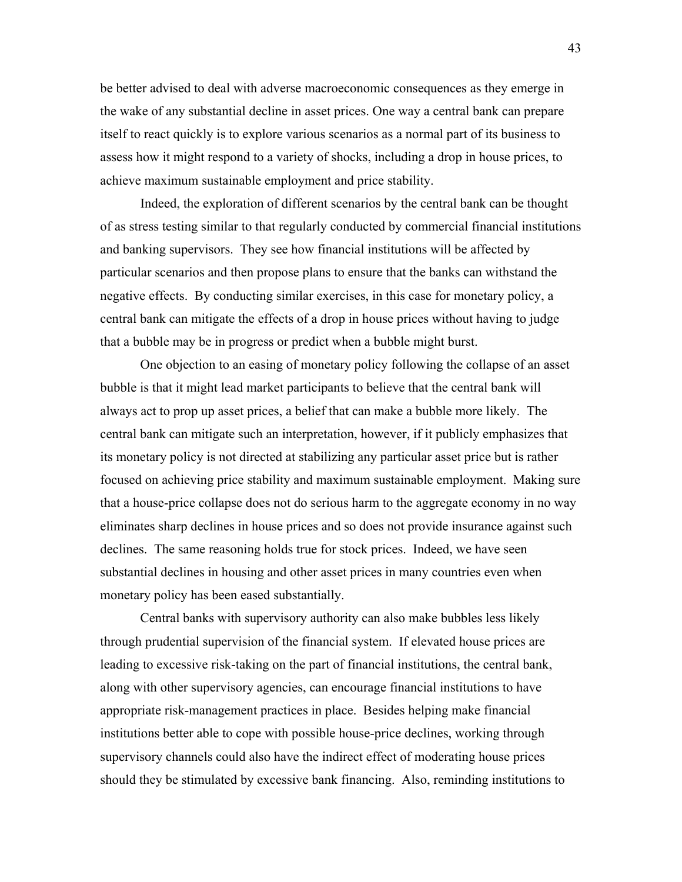be better advised to deal with adverse macroeconomic consequences as they emerge in the wake of any substantial decline in asset prices. One way a central bank can prepare itself to react quickly is to explore various scenarios as a normal part of its business to assess how it might respond to a variety of shocks, including a drop in house prices, to achieve maximum sustainable employment and price stability.

Indeed, the exploration of different scenarios by the central bank can be thought of as stress testing similar to that regularly conducted by commercial financial institutions and banking supervisors. They see how financial institutions will be affected by particular scenarios and then propose plans to ensure that the banks can withstand the negative effects. By conducting similar exercises, in this case for monetary policy, a central bank can mitigate the effects of a drop in house prices without having to judge that a bubble may be in progress or predict when a bubble might burst.

One objection to an easing of monetary policy following the collapse of an asset bubble is that it might lead market participants to believe that the central bank will always act to prop up asset prices, a belief that can make a bubble more likely. The central bank can mitigate such an interpretation, however, if it publicly emphasizes that its monetary policy is not directed at stabilizing any particular asset price but is rather focused on achieving price stability and maximum sustainable employment. Making sure that a house-price collapse does not do serious harm to the aggregate economy in no way eliminates sharp declines in house prices and so does not provide insurance against such declines. The same reasoning holds true for stock prices. Indeed, we have seen substantial declines in housing and other asset prices in many countries even when monetary policy has been eased substantially.

Central banks with supervisory authority can also make bubbles less likely through prudential supervision of the financial system. If elevated house prices are leading to excessive risk-taking on the part of financial institutions, the central bank, along with other supervisory agencies, can encourage financial institutions to have appropriate risk-management practices in place. Besides helping make financial institutions better able to cope with possible house-price declines, working through supervisory channels could also have the indirect effect of moderating house prices should they be stimulated by excessive bank financing. Also, reminding institutions to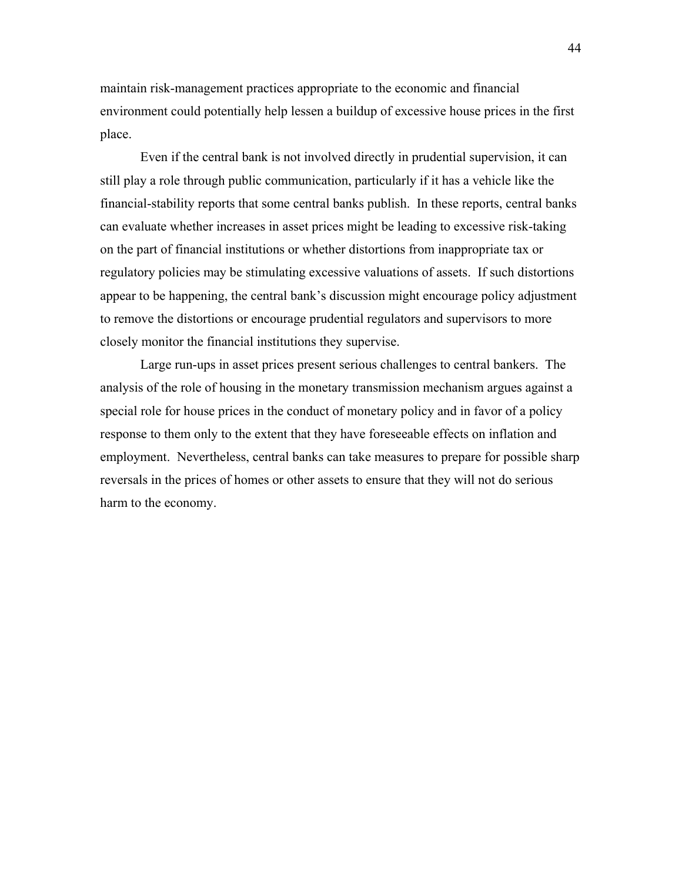maintain risk-management practices appropriate to the economic and financial environment could potentially help lessen a buildup of excessive house prices in the first place.

Even if the central bank is not involved directly in prudential supervision, it can still play a role through public communication, particularly if it has a vehicle like the financial-stability reports that some central banks publish. In these reports, central banks can evaluate whether increases in asset prices might be leading to excessive risk-taking on the part of financial institutions or whether distortions from inappropriate tax or regulatory policies may be stimulating excessive valuations of assets. If such distortions appear to be happening, the central bank's discussion might encourage policy adjustment to remove the distortions or encourage prudential regulators and supervisors to more closely monitor the financial institutions they supervise.

Large run-ups in asset prices present serious challenges to central bankers. The analysis of the role of housing in the monetary transmission mechanism argues against a special role for house prices in the conduct of monetary policy and in favor of a policy response to them only to the extent that they have foreseeable effects on inflation and employment. Nevertheless, central banks can take measures to prepare for possible sharp reversals in the prices of homes or other assets to ensure that they will not do serious harm to the economy.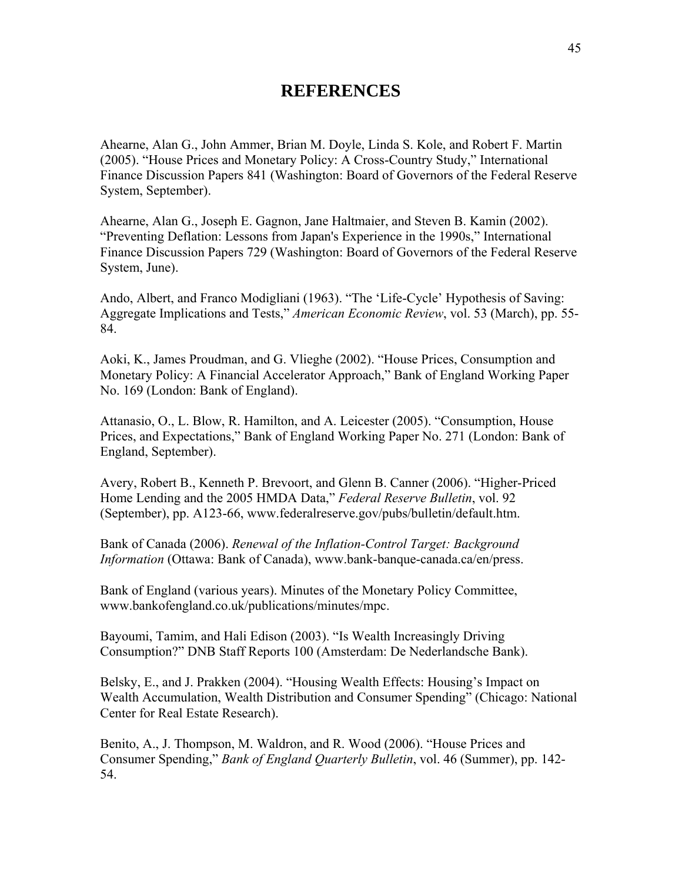## **REFERENCES**

Ahearne, Alan G., John Ammer, Brian M. Doyle, Linda S. Kole, and Robert F. Martin (2005). "House Prices and Monetary Policy: A Cross-Country Study," International Finance Discussion Papers 841 (Washington: Board of Governors of the Federal Reserve System, September).

Ahearne, Alan G., Joseph E. Gagnon, Jane Haltmaier, and Steven B. Kamin (2002). "Preventing Deflation: Lessons from Japan's Experience in the 1990s," International Finance Discussion Papers 729 (Washington: Board of Governors of the Federal Reserve System, June).

Ando, Albert, and Franco Modigliani (1963). "The 'Life-Cycle' Hypothesis of Saving: Aggregate Implications and Tests," *American Economic Review*, vol. 53 (March), pp. 55- 84.

Aoki, K., James Proudman, and G. Vlieghe (2002). "House Prices, Consumption and Monetary Policy: A Financial Accelerator Approach," Bank of England Working Paper No. 169 (London: Bank of England).

Attanasio, O., L. Blow, R. Hamilton, and A. Leicester (2005). "Consumption, House Prices, and Expectations," Bank of England Working Paper No. 271 (London: Bank of England, September).

Avery, Robert B., Kenneth P. Brevoort, and Glenn B. Canner (2006). "Higher-Priced Home Lending and the 2005 HMDA Data," *Federal Reserve Bulletin*, vol. 92 (September), pp. A123-66, www.federalreserve.gov/pubs/bulletin/default.htm.

Bank of Canada (2006). *Renewal of the Inflation-Control Target: Background Information* (Ottawa: Bank of Canada), www.bank-banque-canada.ca/en/press.

Bank of England (various years). Minutes of the Monetary Policy Committee, www.bankofengland.co.uk/publications/minutes/mpc.

Bayoumi, Tamim, and Hali Edison (2003). "Is Wealth Increasingly Driving Consumption?" DNB Staff Reports 100 (Amsterdam: De Nederlandsche Bank).

Belsky, E., and J. Prakken (2004). "Housing Wealth Effects: Housing's Impact on Wealth Accumulation, Wealth Distribution and Consumer Spending" (Chicago: National Center for Real Estate Research).

Benito, A., J. Thompson, M. Waldron, and R. Wood (2006). "House Prices and Consumer Spending," *Bank of England Quarterly Bulletin*, vol. 46 (Summer), pp. 142- 54.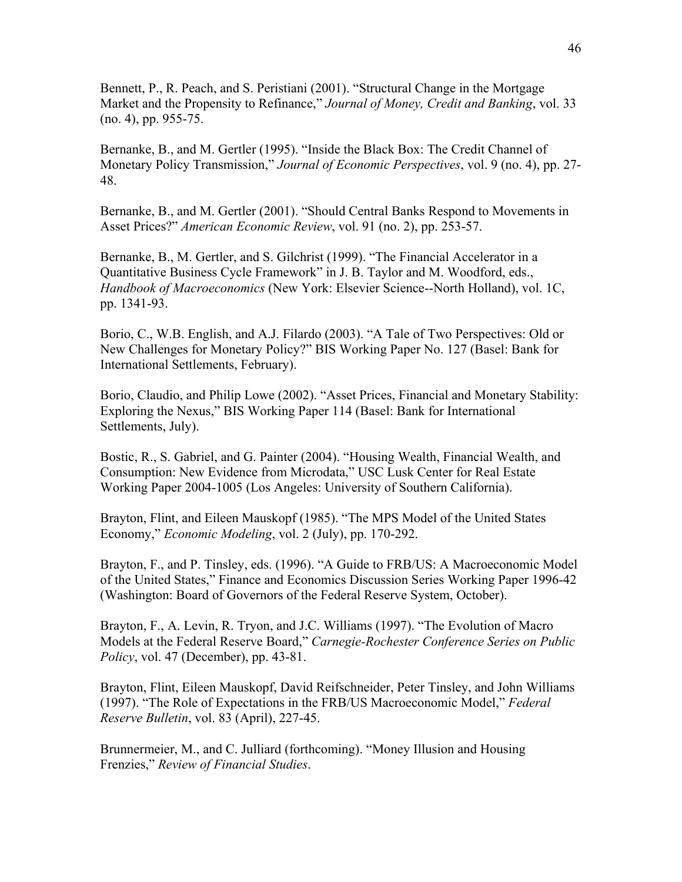Bennett, P., R. Peach, and S. Peristiani (2001). "Structural Change in the Mortgage Market and the Propensity to Refinance," *Journal of Money, Credit and Banking*, vol. 33 (no. 4), pp. 955-75.

Bernanke, B., and M. Gertler (1995). "Inside the Black Box: The Credit Channel of Monetary Policy Transmission," *Journal of Economic Perspectives*, vol. 9 (no. 4), pp. 27- 48.

Bernanke, B., and M. Gertler (2001). "Should Central Banks Respond to Movements in Asset Prices?" *American Economic Review*, vol. 91 (no. 2), pp. 253-57.

Bernanke, B., M. Gertler, and S. Gilchrist (1999). "The Financial Accelerator in a Quantitative Business Cycle Framework" in J. B. Taylor and M. Woodford, eds., *Handbook of Macroeconomics* (New York: Elsevier Science--North Holland), vol. 1C, pp. 1341-93.

Borio, C., W.B. English, and A.J. Filardo (2003). "A Tale of Two Perspectives: Old or New Challenges for Monetary Policy?" BIS Working Paper No. 127 (Basel: Bank for International Settlements, February).

Borio, Claudio, and Philip Lowe (2002). "Asset Prices, Financial and Monetary Stability: Exploring the Nexus," BIS Working Paper 114 (Basel: Bank for International Settlements, July).

Bostic, R., S. Gabriel, and G. Painter (2004). "Housing Wealth, Financial Wealth, and Consumption: New Evidence from Microdata," USC Lusk Center for Real Estate Working Paper 2004-1005 (Los Angeles: University of Southern California).

Brayton, Flint, and Eileen Mauskopf (1985). "The MPS Model of the United States Economy," *Economic Modeling*, vol. 2 (July), pp. 170-292.

Brayton, F., and P. Tinsley, eds. (1996). "A Guide to FRB/US: A Macroeconomic Model of the United States," Finance and Economics Discussion Series Working Paper 1996-42 (Washington: Board of Governors of the Federal Reserve System, October).

Brayton, F., A. Levin, R. Tryon, and J.C. Williams (1997). "The Evolution of Macro Models at the Federal Reserve Board," *Carnegie-Rochester Conference Series on Public Policy*, vol. 47 (December), pp. 43-81.

Brayton, Flint, Eileen Mauskopf, David Reifschneider, Peter Tinsley, and John Williams (1997). "The Role of Expectations in the FRB/US Macroeconomic Model," *Federal Reserve Bulletin*, vol. 83 (April), 227-45.

Brunnermeier, M., and C. Julliard (forthcoming). "Money Illusion and Housing Frenzies," *Review of Financial Studies*.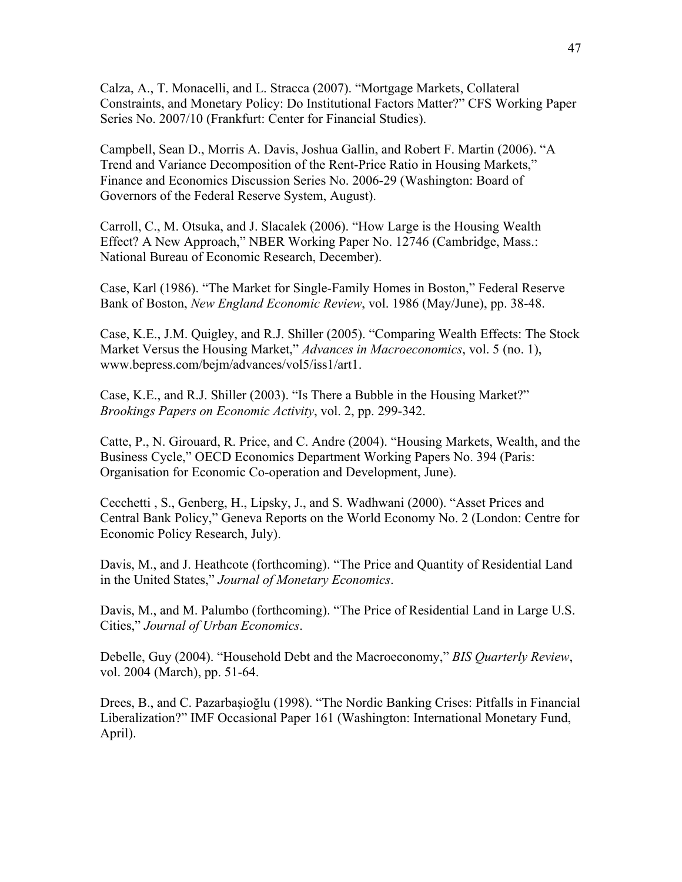Calza, A., T. Monacelli, and L. Stracca (2007). "Mortgage Markets, Collateral Constraints, and Monetary Policy: Do Institutional Factors Matter?" CFS Working Paper Series No. 2007/10 (Frankfurt: Center for Financial Studies).

Campbell, Sean D., Morris A. Davis, Joshua Gallin, and Robert F. Martin (2006). "A Trend and Variance Decomposition of the Rent-Price Ratio in Housing Markets," Finance and Economics Discussion Series No. 2006-29 (Washington: Board of Governors of the Federal Reserve System, August).

Carroll, C., M. Otsuka, and J. Slacalek (2006). "How Large is the Housing Wealth Effect? A New Approach," NBER Working Paper No. 12746 (Cambridge, Mass.: National Bureau of Economic Research, December).

Case, Karl (1986). "The Market for Single-Family Homes in Boston," Federal Reserve Bank of Boston, *New England Economic Review*, vol. 1986 (May/June), pp. 38-48.

Case, K.E., J.M. Quigley, and R.J. Shiller (2005). "Comparing Wealth Effects: The Stock Market Versus the Housing Market," *Advances in Macroeconomics*, vol. 5 (no. 1), www.bepress.com/bejm/advances/vol5/iss1/art1.

Case, K.E., and R.J. Shiller (2003). "Is There a Bubble in the Housing Market?" *Brookings Papers on Economic Activity*, vol. 2, pp. 299-342.

Catte, P., N. Girouard, R. Price, and C. Andre (2004). "Housing Markets, Wealth, and the Business Cycle," OECD Economics Department Working Papers No. 394 (Paris: Organisation for Economic Co-operation and Development, June).

Cecchetti , S., Genberg, H., Lipsky, J., and S. Wadhwani (2000). "Asset Prices and Central Bank Policy," Geneva Reports on the World Economy No. 2 (London: Centre for Economic Policy Research, July).

Davis, M., and J. Heathcote (forthcoming). "The Price and Quantity of Residential Land in the United States," *Journal of Monetary Economics*.

Davis, M., and M. Palumbo (forthcoming). "The Price of Residential Land in Large U.S. Cities," *Journal of Urban Economics*.

Debelle, Guy (2004). "Household Debt and the Macroeconomy," *BIS Quarterly Review*, vol. 2004 (March), pp. 51-64.

Drees, B., and C. Pazarbaşioğlu (1998). "The Nordic Banking Crises: Pitfalls in Financial Liberalization?" IMF Occasional Paper 161 (Washington: International Monetary Fund, April).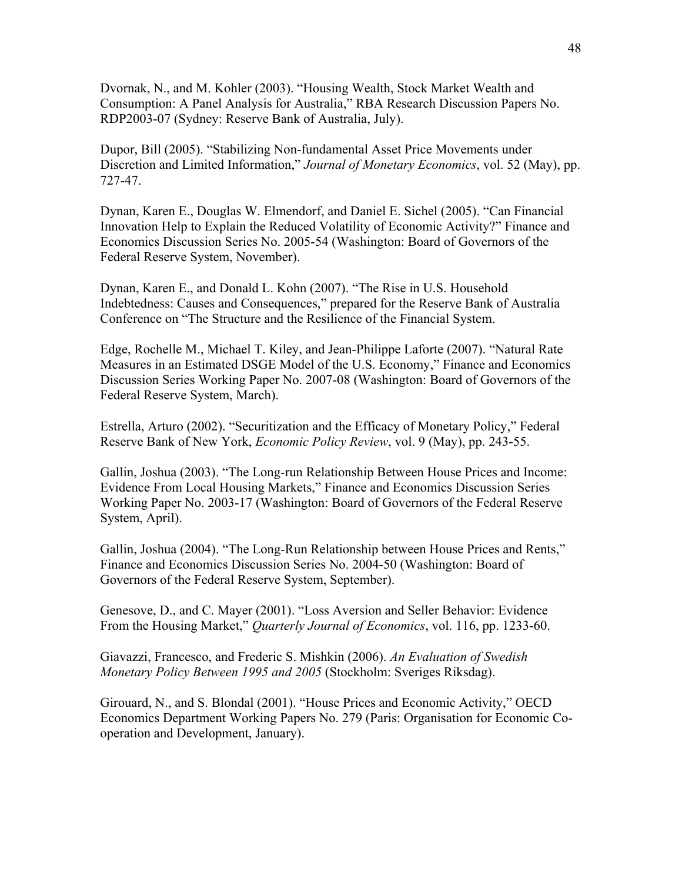Dvornak, N., and M. Kohler (2003). "Housing Wealth, Stock Market Wealth and Consumption: A Panel Analysis for Australia," RBA Research Discussion Papers No. RDP2003-07 (Sydney: Reserve Bank of Australia, July).

Dupor, Bill (2005). "Stabilizing Non-fundamental Asset Price Movements under Discretion and Limited Information," *Journal of Monetary Economics*, vol. 52 (May), pp. 727-47.

Dynan, Karen E., Douglas W. Elmendorf, and Daniel E. Sichel (2005). "Can Financial Innovation Help to Explain the Reduced Volatility of Economic Activity?" Finance and Economics Discussion Series No. 2005-54 (Washington: Board of Governors of the Federal Reserve System, November).

Dynan, Karen E., and Donald L. Kohn (2007). "The Rise in U.S. Household Indebtedness: Causes and Consequences," prepared for the Reserve Bank of Australia Conference on "The Structure and the Resilience of the Financial System.

Edge, Rochelle M., Michael T. Kiley, and Jean-Philippe Laforte (2007). "Natural Rate Measures in an Estimated DSGE Model of the U.S. Economy," Finance and Economics Discussion Series Working Paper No. 2007-08 (Washington: Board of Governors of the Federal Reserve System, March).

Estrella, Arturo (2002). "Securitization and the Efficacy of Monetary Policy," Federal Reserve Bank of New York, *Economic Policy Review*, vol. 9 (May), pp. 243-55.

Gallin, Joshua (2003). "The Long-run Relationship Between House Prices and Income: Evidence From Local Housing Markets," Finance and Economics Discussion Series Working Paper No. 2003-17 (Washington: Board of Governors of the Federal Reserve System, April).

Gallin, Joshua (2004). "The Long-Run Relationship between House Prices and Rents," Finance and Economics Discussion Series No. 2004-50 (Washington: Board of Governors of the Federal Reserve System, September).

Genesove, D., and C. Mayer (2001). "Loss Aversion and Seller Behavior: Evidence From the Housing Market," *Quarterly Journal of Economics*, vol. 116, pp. 1233-60.

Giavazzi, Francesco, and Frederic S. Mishkin (2006). *An Evaluation of Swedish Monetary Policy Between 1995 and 2005* (Stockholm: Sveriges Riksdag).

Girouard, N., and S. Blondal (2001). "House Prices and Economic Activity," OECD Economics Department Working Papers No. 279 (Paris: Organisation for Economic Cooperation and Development, January).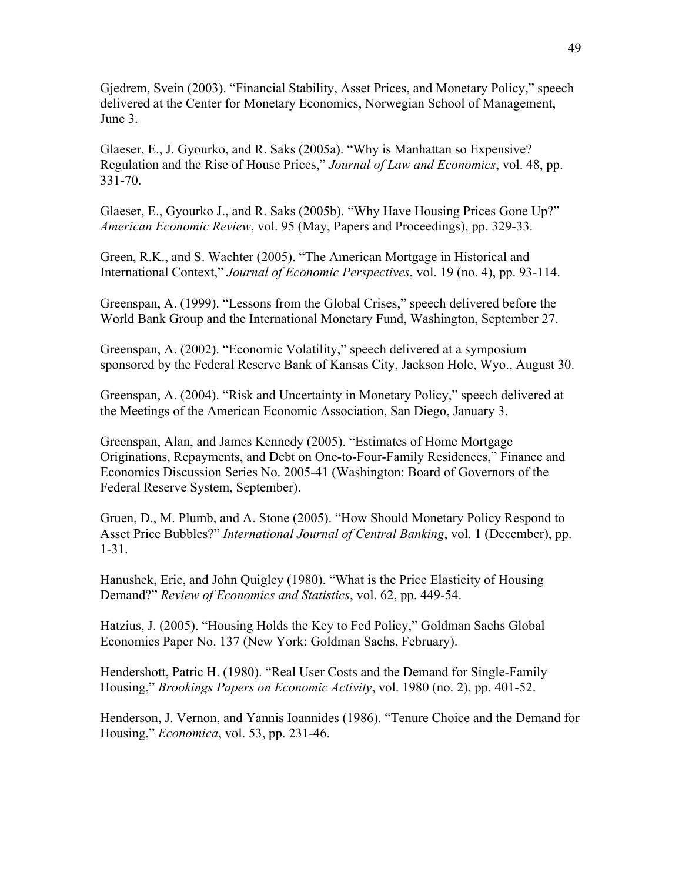Gjedrem, Svein (2003). "Financial Stability, Asset Prices, and Monetary Policy," speech delivered at the Center for Monetary Economics, Norwegian School of Management, June 3.

Glaeser, E., J. Gyourko, and R. Saks (2005a). "Why is Manhattan so Expensive? Regulation and the Rise of House Prices," *Journal of Law and Economics*, vol. 48, pp. 331-70.

Glaeser, E., Gyourko J., and R. Saks (2005b). "Why Have Housing Prices Gone Up?" *American Economic Review*, vol. 95 (May, Papers and Proceedings), pp. 329-33.

Green, R.K., and S. Wachter (2005). "The American Mortgage in Historical and International Context," *Journal of Economic Perspectives*, vol. 19 (no. 4), pp. 93-114.

Greenspan, A. (1999). "Lessons from the Global Crises," speech delivered before the World Bank Group and the International Monetary Fund, Washington, September 27.

Greenspan, A. (2002). "Economic Volatility," speech delivered at a symposium sponsored by the Federal Reserve Bank of Kansas City, Jackson Hole, Wyo., August 30.

Greenspan, A. (2004). "Risk and Uncertainty in Monetary Policy," speech delivered at the Meetings of the American Economic Association, San Diego, January 3.

Greenspan, Alan, and James Kennedy (2005). "Estimates of Home Mortgage Originations, Repayments, and Debt on One-to-Four-Family Residences," Finance and Economics Discussion Series No. 2005-41 (Washington: Board of Governors of the Federal Reserve System, September).

Gruen, D., M. Plumb, and A. Stone (2005). "How Should Monetary Policy Respond to Asset Price Bubbles?" *International Journal of Central Banking*, vol. 1 (December), pp. 1-31.

Hanushek, Eric, and John Quigley (1980). "What is the Price Elasticity of Housing Demand?" *Review of Economics and Statistics*, vol. 62, pp. 449-54.

Hatzius, J. (2005). "Housing Holds the Key to Fed Policy," Goldman Sachs Global Economics Paper No. 137 (New York: Goldman Sachs, February).

Hendershott, Patric H. (1980). "Real User Costs and the Demand for Single-Family Housing," *Brookings Papers on Economic Activity*, vol. 1980 (no. 2), pp. 401-52.

Henderson, J. Vernon, and Yannis Ioannides (1986). "Tenure Choice and the Demand for Housing," *Economica*, vol. 53, pp. 231-46.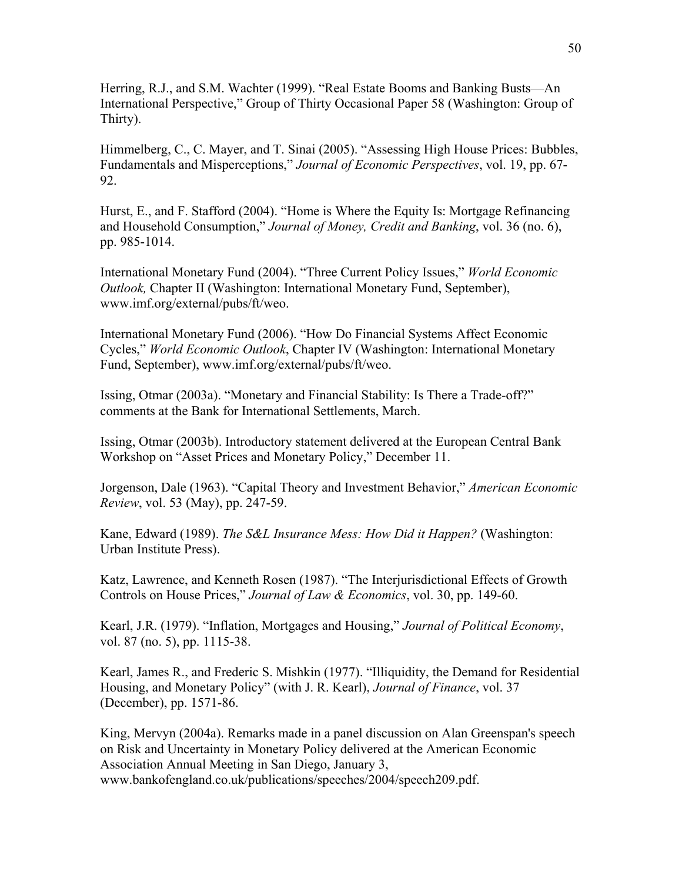Herring, R.J., and S.M. Wachter (1999). "Real Estate Booms and Banking Busts—An International Perspective," Group of Thirty Occasional Paper 58 (Washington: Group of Thirty).

Himmelberg, C., C. Mayer, and T. Sinai (2005). "Assessing High House Prices: Bubbles, Fundamentals and Misperceptions," *Journal of Economic Perspectives*, vol. 19, pp. 67- 92.

Hurst, E., and F. Stafford (2004). "Home is Where the Equity Is: Mortgage Refinancing and Household Consumption," *Journal of Money, Credit and Banking*, vol. 36 (no. 6), pp. 985-1014.

International Monetary Fund (2004). "Three Current Policy Issues," *World Economic Outlook,* Chapter II (Washington: International Monetary Fund, September), www.imf.org/external/pubs/ft/weo.

International Monetary Fund (2006). "How Do Financial Systems Affect Economic Cycles," *World Economic Outlook*, Chapter IV (Washington: International Monetary Fund, September), www.imf.org/external/pubs/ft/weo.

Issing, Otmar (2003a). "Monetary and Financial Stability: Is There a Trade-off?" comments at the Bank for International Settlements, March.

Issing, Otmar (2003b). Introductory statement delivered at the European Central Bank Workshop on "Asset Prices and Monetary Policy," December 11.

Jorgenson, Dale (1963). "Capital Theory and Investment Behavior," *American Economic Review*, vol. 53 (May), pp. 247-59.

Kane, Edward (1989). *The S&L Insurance Mess: How Did it Happen?* (Washington: Urban Institute Press).

Katz, Lawrence, and Kenneth Rosen (1987). "The Interjurisdictional Effects of Growth Controls on House Prices," *Journal of Law & Economics*, vol. 30, pp. 149-60.

Kearl, J.R. (1979). "Inflation, Mortgages and Housing," *Journal of Political Economy*, vol. 87 (no. 5), pp. 1115-38.

Kearl, James R., and Frederic S. Mishkin (1977). "Illiquidity, the Demand for Residential Housing, and Monetary Policy" (with J. R. Kearl), *Journal of Finance*, vol. 37 (December), pp. 1571-86.

King, Mervyn (2004a). Remarks made in a panel discussion on Alan Greenspan's speech on Risk and Uncertainty in Monetary Policy delivered at the American Economic Association Annual Meeting in San Diego, January 3, www.bankofengland.co.uk/publications/speeches/2004/speech209.pdf.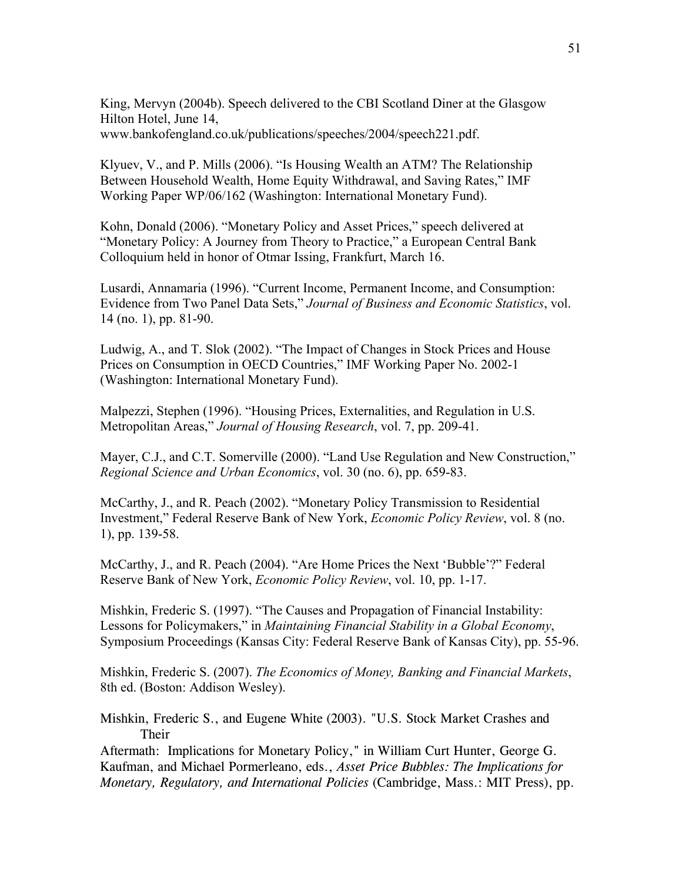King, Mervyn (2004b). Speech delivered to the CBI Scotland Diner at the Glasgow Hilton Hotel, June 14, www.bankofengland.co.uk/publications/speeches/2004/speech221.pdf.

Klyuev, V., and P. Mills (2006). "Is Housing Wealth an ATM? The Relationship Between Household Wealth, Home Equity Withdrawal, and Saving Rates," IMF Working Paper WP/06/162 (Washington: International Monetary Fund).

Kohn, Donald (2006). "Monetary Policy and Asset Prices," speech delivered at "Monetary Policy: A Journey from Theory to Practice," a European Central Bank Colloquium held in honor of Otmar Issing, Frankfurt, March 16.

Lusardi, Annamaria (1996). "Current Income, Permanent Income, and Consumption: Evidence from Two Panel Data Sets," *Journal of Business and Economic Statistics*, vol. 14 (no. 1), pp. 81-90.

Ludwig, A., and T. Slok (2002). "The Impact of Changes in Stock Prices and House Prices on Consumption in OECD Countries," IMF Working Paper No. 2002-1 (Washington: International Monetary Fund).

Malpezzi, Stephen (1996). "Housing Prices, Externalities, and Regulation in U.S. Metropolitan Areas," *Journal of Housing Research*, vol. 7, pp. 209-41.

Mayer, C.J., and C.T. Somerville (2000). "Land Use Regulation and New Construction," *Regional Science and Urban Economics*, vol. 30 (no. 6), pp. 659-83.

McCarthy, J., and R. Peach (2002). "Monetary Policy Transmission to Residential Investment," Federal Reserve Bank of New York, *Economic Policy Review*, vol. 8 (no. 1), pp. 139-58.

McCarthy, J., and R. Peach (2004). "Are Home Prices the Next 'Bubble'?" Federal Reserve Bank of New York, *Economic Policy Review*, vol. 10, pp. 1-17.

Mishkin, Frederic S. (1997). "The Causes and Propagation of Financial Instability: Lessons for Policymakers," in *Maintaining Financial Stability in a Global Economy*, Symposium Proceedings (Kansas City: Federal Reserve Bank of Kansas City), pp. 55-96.

Mishkin, Frederic S. (2007). *The Economics of Money, Banking and Financial Markets*, 8th ed. (Boston: Addison Wesley).

Mishkin, Frederic S., and Eugene White (2003). "U.S. Stock Market Crashes and Their

Aftermath: Implications for Monetary Policy," in William Curt Hunter, George G. Kaufman, and Michael Pormerleano, eds., *Asset Price Bubbles: The Implications for Monetary, Regulatory, and International Policies* (Cambridge, Mass.: MIT Press), pp.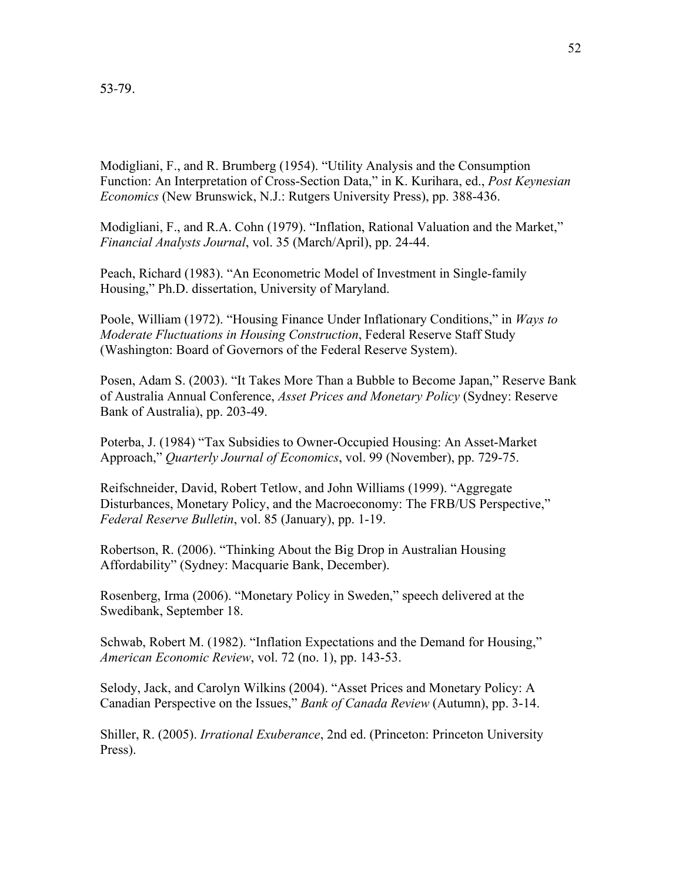Modigliani, F., and R. Brumberg (1954). "Utility Analysis and the Consumption Function: An Interpretation of Cross-Section Data," in K. Kurihara, ed., *Post Keynesian Economics* (New Brunswick, N.J.: Rutgers University Press), pp. 388-436.

Modigliani, F., and R.A. Cohn (1979). "Inflation, Rational Valuation and the Market," *Financial Analysts Journal*, vol. 35 (March/April), pp. 24-44.

Peach, Richard (1983). "An Econometric Model of Investment in Single-family Housing," Ph.D. dissertation, University of Maryland.

Poole, William (1972). "Housing Finance Under Inflationary Conditions," in *Ways to Moderate Fluctuations in Housing Construction*, Federal Reserve Staff Study (Washington: Board of Governors of the Federal Reserve System).

Posen, Adam S. (2003). "It Takes More Than a Bubble to Become Japan," Reserve Bank of Australia Annual Conference, *Asset Prices and Monetary Policy* (Sydney: Reserve Bank of Australia), pp. 203-49.

Poterba, J. (1984) "Tax Subsidies to Owner-Occupied Housing: An Asset-Market Approach," *Quarterly Journal of Economics*, vol. 99 (November), pp. 729-75.

Reifschneider, David, Robert Tetlow, and John Williams (1999). "Aggregate Disturbances, Monetary Policy, and the Macroeconomy: The FRB/US Perspective," *Federal Reserve Bulletin*, vol. 85 (January), pp. 1-19.

Robertson, R. (2006). "Thinking About the Big Drop in Australian Housing Affordability" (Sydney: Macquarie Bank, December).

Rosenberg, Irma (2006). "Monetary Policy in Sweden," speech delivered at the Swedibank, September 18.

Schwab, Robert M. (1982). "Inflation Expectations and the Demand for Housing," *American Economic Review*, vol. 72 (no. 1), pp. 143-53.

Selody, Jack, and Carolyn Wilkins (2004). "Asset Prices and Monetary Policy: A Canadian Perspective on the Issues," *Bank of Canada Review* (Autumn), pp. 3-14.

Shiller, R. (2005). *Irrational Exuberance*, 2nd ed. (Princeton: Princeton University Press).